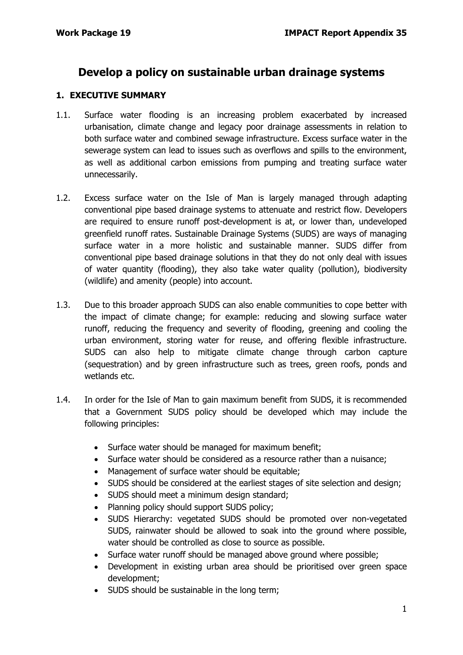## **Develop a policy on sustainable urban drainage systems**

#### **1. EXECUTIVE SUMMARY**

- 1.1. Surface water flooding is an increasing problem exacerbated by increased urbanisation, climate change and legacy poor drainage assessments in relation to both surface water and combined sewage infrastructure. Excess surface water in the sewerage system can lead to issues such as overflows and spills to the environment, as well as additional carbon emissions from pumping and treating surface water unnecessarily.
- 1.2. Excess surface water on the Isle of Man is largely managed through adapting conventional pipe based drainage systems to attenuate and restrict flow. Developers are required to ensure runoff post-development is at, or lower than, undeveloped greenfield runoff rates. Sustainable Drainage Systems (SUDS) are ways of managing surface water in a more holistic and sustainable manner. SUDS differ from conventional pipe based drainage solutions in that they do not only deal with issues of water quantity (flooding), they also take water quality (pollution), biodiversity (wildlife) and amenity (people) into account.
- 1.3. Due to this broader approach SUDS can also enable communities to cope better with the impact of climate change; for example: reducing and slowing surface water runoff, reducing the frequency and severity of flooding, greening and cooling the urban environment, storing water for reuse, and offering flexible infrastructure. SUDS can also help to mitigate climate change through carbon capture (sequestration) and by green infrastructure such as trees, green roofs, ponds and wetlands etc.
- 1.4. In order for the Isle of Man to gain maximum benefit from SUDS, it is recommended that a Government SUDS policy should be developed which may include the following principles:
	- Surface water should be managed for maximum benefit;
	- Surface water should be considered as a resource rather than a nuisance;
	- Management of surface water should be equitable;
	- SUDS should be considered at the earliest stages of site selection and design;
	- SUDS should meet a minimum design standard;
	- Planning policy should support SUDS policy;
	- SUDS Hierarchy: vegetated SUDS should be promoted over non-vegetated SUDS, rainwater should be allowed to soak into the ground where possible, water should be controlled as close to source as possible.
	- Surface water runoff should be managed above ground where possible;
	- Development in existing urban area should be prioritised over green space development;
	- SUDS should be sustainable in the long term;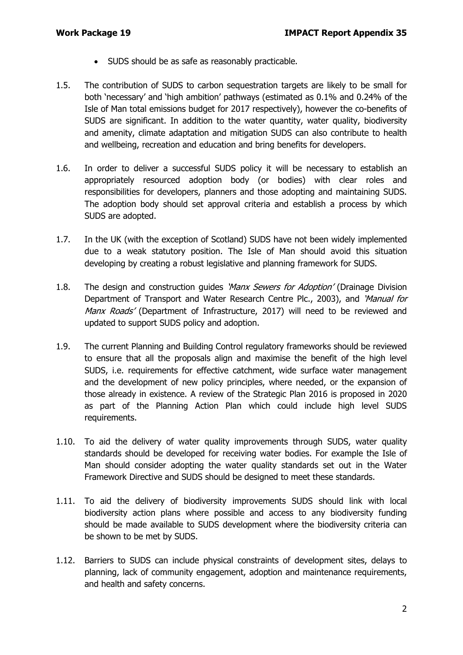- SUDS should be as safe as reasonably practicable.
- 1.5. The contribution of SUDS to carbon sequestration targets are likely to be small for both 'necessary' and 'high ambition' pathways (estimated as 0.1% and 0.24% of the Isle of Man total emissions budget for 2017 respectively), however the co-benefits of SUDS are significant. In addition to the water quantity, water quality, biodiversity and amenity, climate adaptation and mitigation SUDS can also contribute to health and wellbeing, recreation and education and bring benefits for developers.
- 1.6. In order to deliver a successful SUDS policy it will be necessary to establish an appropriately resourced adoption body (or bodies) with clear roles and responsibilities for developers, planners and those adopting and maintaining SUDS. The adoption body should set approval criteria and establish a process by which SUDS are adopted.
- 1.7. In the UK (with the exception of Scotland) SUDS have not been widely implemented due to a weak statutory position. The Isle of Man should avoid this situation developing by creating a robust legislative and planning framework for SUDS.
- 1.8. The design and construction guides 'Manx Sewers for Adoption' (Drainage Division Department of Transport and Water Research Centre Plc., 2003), and 'Manual for Manx Roads' (Department of Infrastructure, 2017) will need to be reviewed and updated to support SUDS policy and adoption.
- 1.9. The current Planning and Building Control regulatory frameworks should be reviewed to ensure that all the proposals align and maximise the benefit of the high level SUDS, i.e. requirements for effective catchment, wide surface water management and the development of new policy principles, where needed, or the expansion of those already in existence. A review of the Strategic Plan 2016 is proposed in 2020 as part of the Planning Action Plan which could include high level SUDS requirements.
- 1.10. To aid the delivery of water quality improvements through SUDS, water quality standards should be developed for receiving water bodies. For example the Isle of Man should consider adopting the water quality standards set out in the Water Framework Directive and SUDS should be designed to meet these standards.
- 1.11. To aid the delivery of biodiversity improvements SUDS should link with local biodiversity action plans where possible and access to any biodiversity funding should be made available to SUDS development where the biodiversity criteria can be shown to be met by SUDS.
- 1.12. Barriers to SUDS can include physical constraints of development sites, delays to planning, lack of community engagement, adoption and maintenance requirements, and health and safety concerns.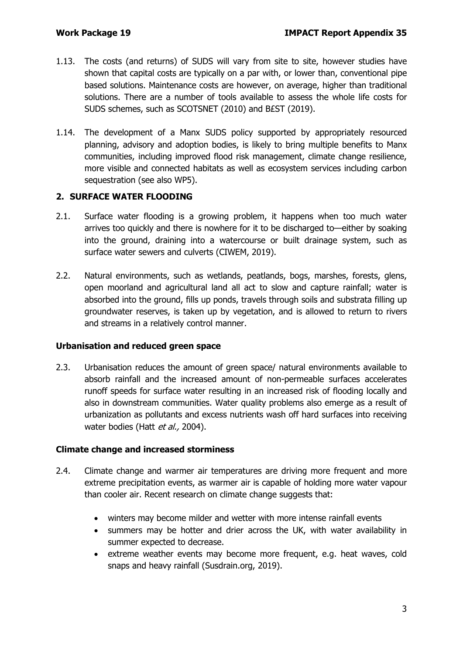- 1.13. The costs (and returns) of SUDS will vary from site to site, however studies have shown that capital costs are typically on a par with, or lower than, conventional pipe based solutions. Maintenance costs are however, on average, higher than traditional solutions. There are a number of tools available to assess the whole life costs for SUDS schemes, such as SCOTSNET (2010) and B£ST (2019).
- 1.14. The development of a Manx SUDS policy supported by appropriately resourced planning, advisory and adoption bodies, is likely to bring multiple benefits to Manx communities, including improved flood risk management, climate change resilience, more visible and connected habitats as well as ecosystem services including carbon sequestration (see also WP5).

#### **2. SURFACE WATER FLOODING**

- 2.1. Surface water flooding is a growing problem, it happens when too much water arrives too quickly and there is nowhere for it to be discharged to—either by soaking into the ground, draining into a watercourse or built drainage system, such as surface water sewers and culverts (CIWEM, 2019).
- 2.2. Natural environments, such as wetlands, peatlands, bogs, marshes, forests, glens, open moorland and agricultural land all act to slow and capture rainfall; water is absorbed into the ground, fills up ponds, travels through soils and substrata filling up groundwater reserves, is taken up by vegetation, and is allowed to return to rivers and streams in a relatively control manner.

#### **Urbanisation and reduced green space**

2.3. Urbanisation reduces the amount of green space/ natural environments available to absorb rainfall and the increased amount of non-permeable surfaces accelerates runoff speeds for surface water resulting in an increased risk of flooding locally and also in downstream communities. Water quality problems also emerge as a result of urbanization as pollutants and excess nutrients wash off hard surfaces into receiving water bodies (Hatt et al., 2004).

#### **Climate change and increased storminess**

- 2.4. Climate change and warmer air temperatures are driving more frequent and more extreme precipitation events, as warmer air is capable of holding more water vapour than cooler air. Recent research on climate change suggests that:
	- winters may become milder and wetter with more intense rainfall events
	- summers may be hotter and drier across the UK, with water availability in summer expected to decrease.
	- extreme weather events may become more frequent, e.g. heat waves, cold snaps and heavy rainfall (Susdrain.org, 2019).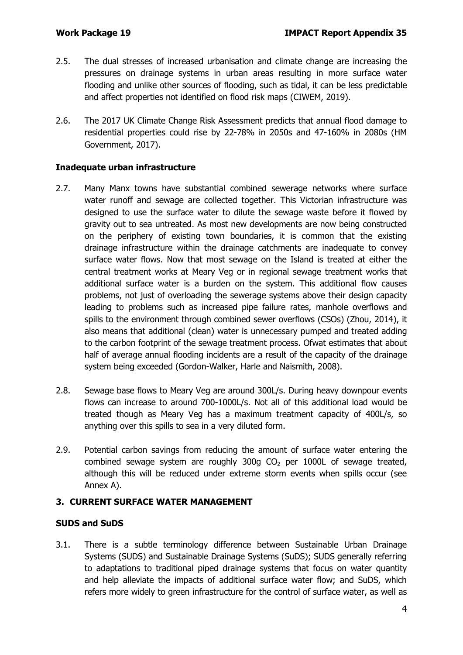- 2.5. The dual stresses of increased urbanisation and climate change are increasing the pressures on drainage systems in urban areas resulting in more surface water flooding and unlike other sources of flooding, such as tidal, it can be less predictable and affect properties not identified on flood risk maps (CIWEM, 2019).
- 2.6. The 2017 UK Climate Change Risk Assessment predicts that annual flood damage to residential properties could rise by 22-78% in 2050s and 47-160% in 2080s (HM Government, 2017).

#### **Inadequate urban infrastructure**

- 2.7. Many Manx towns have substantial combined sewerage networks where surface water runoff and sewage are collected together. This Victorian infrastructure was designed to use the surface water to dilute the sewage waste before it flowed by gravity out to sea untreated. As most new developments are now being constructed on the periphery of existing town boundaries, it is common that the existing drainage infrastructure within the drainage catchments are inadequate to convey surface water flows. Now that most sewage on the Island is treated at either the central treatment works at Meary Veg or in regional sewage treatment works that additional surface water is a burden on the system. This additional flow causes problems, not just of overloading the sewerage systems above their design capacity leading to problems such as increased pipe failure rates, manhole overflows and spills to the environment through combined sewer overflows (CSOs) (Zhou, 2014), it also means that additional (clean) water is unnecessary pumped and treated adding to the carbon footprint of the sewage treatment process. Ofwat estimates that about half of average annual flooding incidents are a result of the capacity of the drainage system being exceeded (Gordon-Walker, Harle and Naismith, 2008).
- 2.8. Sewage base flows to Meary Veg are around 300L/s. During heavy downpour events flows can increase to around 700-1000L/s. Not all of this additional load would be treated though as Meary Veg has a maximum treatment capacity of 400L/s, so anything over this spills to sea in a very diluted form.
- 2.9. Potential carbon savings from reducing the amount of surface water entering the combined sewage system are roughly 300g  $CO<sub>2</sub>$  per 1000L of sewage treated, although this will be reduced under extreme storm events when spills occur (see Annex A).

### **3. CURRENT SURFACE WATER MANAGEMENT**

#### **SUDS and SuDS**

3.1. There is a subtle terminology difference between Sustainable Urban Drainage Systems (SUDS) and Sustainable Drainage Systems (SuDS); SUDS generally referring to adaptations to traditional piped drainage systems that focus on water quantity and help alleviate the impacts of additional surface water flow; and SuDS, which refers more widely to green infrastructure for the control of surface water, as well as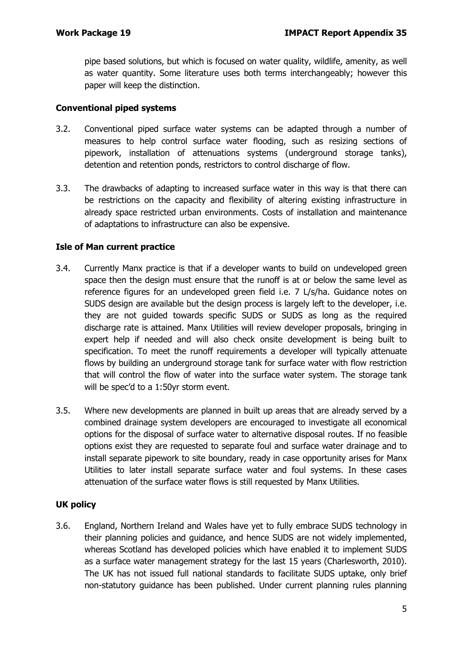pipe based solutions, but which is focused on water quality, wildlife, amenity, as well as water quantity. Some literature uses both terms interchangeably; however this paper will keep the distinction.

#### **Conventional piped systems**

- 3.2. Conventional piped surface water systems can be adapted through a number of measures to help control surface water flooding, such as resizing sections of pipework, installation of attenuations systems (underground storage tanks), detention and retention ponds, restrictors to control discharge of flow.
- 3.3. The drawbacks of adapting to increased surface water in this way is that there can be restrictions on the capacity and flexibility of altering existing infrastructure in already space restricted urban environments. Costs of installation and maintenance of adaptations to infrastructure can also be expensive.

#### **Isle of Man current practice**

- 3.4. Currently Manx practice is that if a developer wants to build on undeveloped green space then the design must ensure that the runoff is at or below the same level as reference figures for an undeveloped green field i.e. 7 L/s/ha. Guidance notes on SUDS design are available but the design process is largely left to the developer, i.e. they are not guided towards specific SUDS or SUDS as long as the required discharge rate is attained. Manx Utilities will review developer proposals, bringing in expert help if needed and will also check onsite development is being built to specification. To meet the runoff requirements a developer will typically attenuate flows by building an underground storage tank for surface water with flow restriction that will control the flow of water into the surface water system. The storage tank will be spec'd to a 1:50yr storm event.
- 3.5. Where new developments are planned in built up areas that are already served by a combined drainage system developers are encouraged to investigate all economical options for the disposal of surface water to alternative disposal routes. If no feasible options exist they are requested to separate foul and surface water drainage and to install separate pipework to site boundary, ready in case opportunity arises for Manx Utilities to later install separate surface water and foul systems. In these cases attenuation of the surface water flows is still requested by Manx Utilities.

### **UK policy**

3.6. England, Northern Ireland and Wales have yet to fully embrace SUDS technology in their planning policies and guidance, and hence SUDS are not widely implemented, whereas Scotland has developed policies which have enabled it to implement SUDS as a surface water management strategy for the last 15 years (Charlesworth, 2010). The UK has not issued full national standards to facilitate SUDS uptake, only brief non-statutory guidance has been published. Under current planning rules planning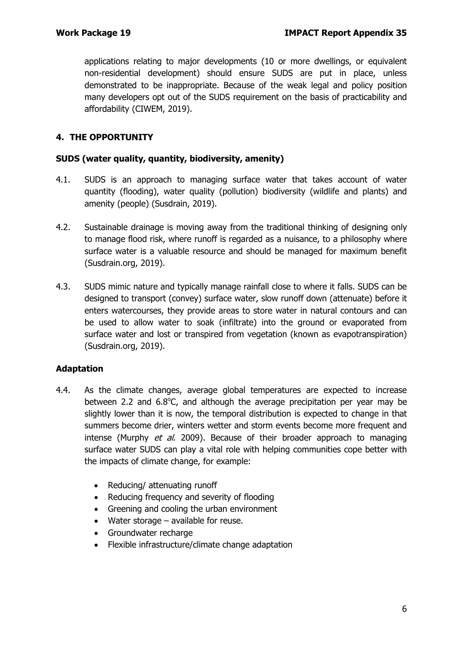applications relating to major developments (10 or more dwellings, or equivalent non-residential development) should ensure SUDS are put in place, unless demonstrated to be inappropriate. Because of the weak legal and policy position many developers opt out of the SUDS requirement on the basis of practicability and affordability (CIWEM, 2019).

## **4. THE OPPORTUNITY**

#### **SUDS (water quality, quantity, biodiversity, amenity)**

- 4.1. SUDS is an approach to managing surface water that takes account of water quantity (flooding), water quality (pollution) biodiversity (wildlife and plants) and amenity (people) (Susdrain, 2019).
- 4.2. Sustainable drainage is moving away from the traditional thinking of designing only to manage flood risk, where runoff is regarded as a nuisance, to a philosophy where surface water is a valuable resource and should be managed for maximum benefit (Susdrain.org, 2019).
- 4.3. SUDS mimic nature and typically manage rainfall close to where it falls. SUDS can be designed to transport (convey) surface water, slow runoff down (attenuate) before it enters watercourses, they provide areas to store water in natural contours and can be used to allow water to soak (infiltrate) into the ground or evaporated from surface water and lost or transpired from vegetation (known as evapotranspiration) (Susdrain.org, 2019).

### **Adaptation**

- 4.4. As the climate changes, average global temperatures are expected to increase between 2.2 and 6.8°C, and although the average precipitation per year may be slightly lower than it is now, the temporal distribution is expected to change in that summers become drier, winters wetter and storm events become more frequent and intense (Murphy  $et$  al. 2009). Because of their broader approach to managing surface water SUDS can play a vital role with helping communities cope better with the impacts of climate change, for example:
	- Reducing/ attenuating runoff
	- Reducing frequency and severity of flooding
	- Greening and cooling the urban environment
	- Water storage available for reuse.
	- Groundwater recharge
	- Flexible infrastructure/climate change adaptation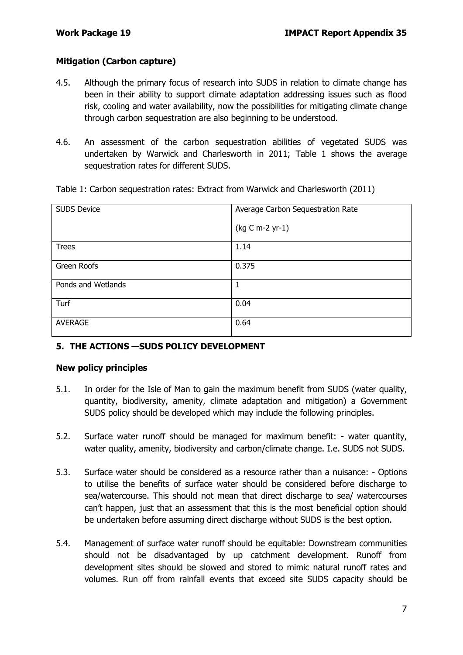#### **Mitigation (Carbon capture)**

- 4.5. Although the primary focus of research into SUDS in relation to climate change has been in their ability to support climate adaptation addressing issues such as flood risk, cooling and water availability, now the possibilities for mitigating climate change through carbon sequestration are also beginning to be understood.
- 4.6. An assessment of the carbon sequestration abilities of vegetated SUDS was undertaken by Warwick and Charlesworth in 2011; Table 1 shows the average sequestration rates for different SUDS.

| <b>SUDS Device</b> | Average Carbon Sequestration Rate |
|--------------------|-----------------------------------|
|                    | (kg C m-2 yr-1)                   |
| <b>Trees</b>       | 1.14                              |
| Green Roofs        | 0.375                             |
| Ponds and Wetlands | 1                                 |
| Turf               | 0.04                              |
| <b>AVERAGE</b>     | 0.64                              |

Table 1: Carbon sequestration rates: Extract from Warwick and Charlesworth (2011)

### **5. THE ACTIONS —SUDS POLICY DEVELOPMENT**

#### **New policy principles**

- 5.1. In order for the Isle of Man to gain the maximum benefit from SUDS (water quality, quantity, biodiversity, amenity, climate adaptation and mitigation) a Government SUDS policy should be developed which may include the following principles.
- 5.2. Surface water runoff should be managed for maximum benefit: water quantity, water quality, amenity, biodiversity and carbon/climate change. I.e. SUDS not SUDS.
- 5.3. Surface water should be considered as a resource rather than a nuisance: Options to utilise the benefits of surface water should be considered before discharge to sea/watercourse. This should not mean that direct discharge to sea/ watercourses can't happen, just that an assessment that this is the most beneficial option should be undertaken before assuming direct discharge without SUDS is the best option.
- 5.4. Management of surface water runoff should be equitable: Downstream communities should not be disadvantaged by up catchment development. Runoff from development sites should be slowed and stored to mimic natural runoff rates and volumes. Run off from rainfall events that exceed site SUDS capacity should be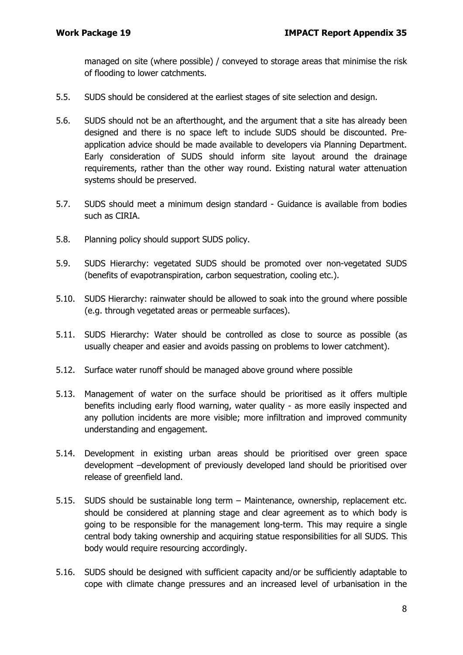managed on site (where possible) / conveyed to storage areas that minimise the risk of flooding to lower catchments.

- 5.5. SUDS should be considered at the earliest stages of site selection and design.
- 5.6. SUDS should not be an afterthought, and the argument that a site has already been designed and there is no space left to include SUDS should be discounted. Preapplication advice should be made available to developers via Planning Department. Early consideration of SUDS should inform site layout around the drainage requirements, rather than the other way round. Existing natural water attenuation systems should be preserved.
- 5.7. SUDS should meet a minimum design standard Guidance is available from bodies such as CIRIA.
- 5.8. Planning policy should support SUDS policy.
- 5.9. SUDS Hierarchy: vegetated SUDS should be promoted over non-vegetated SUDS (benefits of evapotranspiration, carbon sequestration, cooling etc.).
- 5.10. SUDS Hierarchy: rainwater should be allowed to soak into the ground where possible (e.g. through vegetated areas or permeable surfaces).
- 5.11. SUDS Hierarchy: Water should be controlled as close to source as possible (as usually cheaper and easier and avoids passing on problems to lower catchment).
- 5.12. Surface water runoff should be managed above ground where possible
- 5.13. Management of water on the surface should be prioritised as it offers multiple benefits including early flood warning, water quality - as more easily inspected and any pollution incidents are more visible; more infiltration and improved community understanding and engagement.
- 5.14. Development in existing urban areas should be prioritised over green space development –development of previously developed land should be prioritised over release of greenfield land.
- 5.15. SUDS should be sustainable long term Maintenance, ownership, replacement etc. should be considered at planning stage and clear agreement as to which body is going to be responsible for the management long-term. This may require a single central body taking ownership and acquiring statue responsibilities for all SUDS. This body would require resourcing accordingly.
- 5.16. SUDS should be designed with sufficient capacity and/or be sufficiently adaptable to cope with climate change pressures and an increased level of urbanisation in the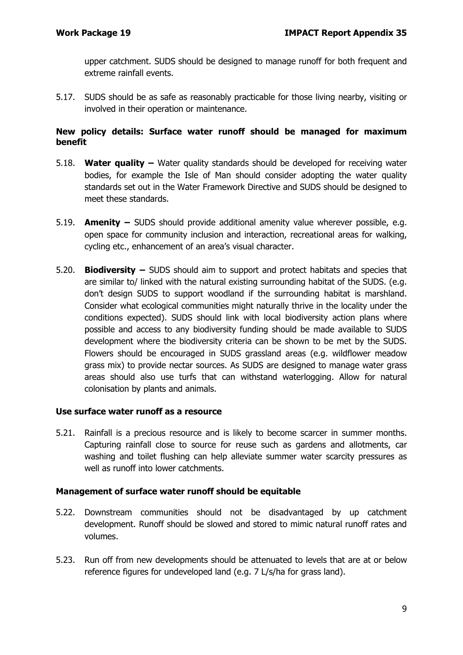upper catchment. SUDS should be designed to manage runoff for both frequent and extreme rainfall events.

5.17. SUDS should be as safe as reasonably practicable for those living nearby, visiting or involved in their operation or maintenance.

#### **New policy details: Surface water runoff should be managed for maximum benefit**

- 5.18. **Water quality –** Water quality standards should be developed for receiving water bodies, for example the Isle of Man should consider adopting the water quality standards set out in the Water Framework Directive and SUDS should be designed to meet these standards.
- 5.19. **Amenity –** SUDS should provide additional amenity value wherever possible, e.g. open space for community inclusion and interaction, recreational areas for walking, cycling etc., enhancement of an area's visual character.
- 5.20. **Biodiversity –** SUDS should aim to support and protect habitats and species that are similar to/ linked with the natural existing surrounding habitat of the SUDS. (e.g. don't design SUDS to support woodland if the surrounding habitat is marshland. Consider what ecological communities might naturally thrive in the locality under the conditions expected). SUDS should link with local biodiversity action plans where possible and access to any biodiversity funding should be made available to SUDS development where the biodiversity criteria can be shown to be met by the SUDS. Flowers should be encouraged in SUDS grassland areas (e.g. wildflower meadow grass mix) to provide nectar sources. As SUDS are designed to manage water grass areas should also use turfs that can withstand waterlogging. Allow for natural colonisation by plants and animals.

#### **Use surface water runoff as a resource**

5.21. Rainfall is a precious resource and is likely to become scarcer in summer months. Capturing rainfall close to source for reuse such as gardens and allotments, car washing and toilet flushing can help alleviate summer water scarcity pressures as well as runoff into lower catchments.

#### **Management of surface water runoff should be equitable**

- 5.22. Downstream communities should not be disadvantaged by up catchment development. Runoff should be slowed and stored to mimic natural runoff rates and volumes.
- 5.23. Run off from new developments should be attenuated to levels that are at or below reference figures for undeveloped land (e.g. 7 L/s/ha for grass land).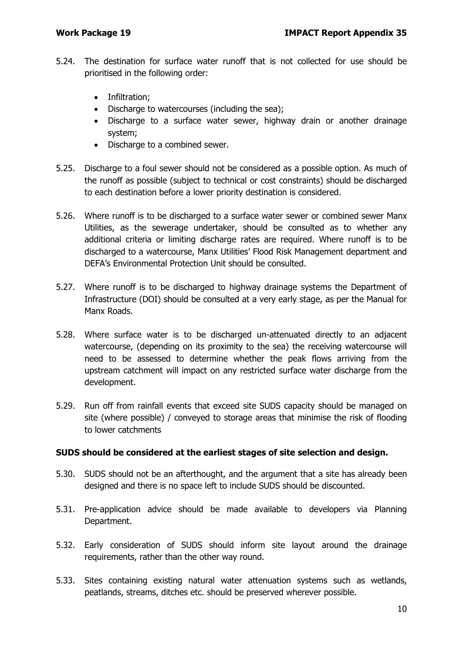- 5.24. The destination for surface water runoff that is not collected for use should be prioritised in the following order:
	- Infiltration;
	- Discharge to watercourses (including the sea);
	- Discharge to a surface water sewer, highway drain or another drainage system;
	- Discharge to a combined sewer.
- 5.25. Discharge to a foul sewer should not be considered as a possible option. As much of the runoff as possible (subject to technical or cost constraints) should be discharged to each destination before a lower priority destination is considered.
- 5.26. Where runoff is to be discharged to a surface water sewer or combined sewer Manx Utilities, as the sewerage undertaker, should be consulted as to whether any additional criteria or limiting discharge rates are required. Where runoff is to be discharged to a watercourse, Manx Utilities' Flood Risk Management department and DEFA's Environmental Protection Unit should be consulted.
- 5.27. Where runoff is to be discharged to highway drainage systems the Department of Infrastructure (DOI) should be consulted at a very early stage, as per the Manual for Manx Roads.
- 5.28. Where surface water is to be discharged un-attenuated directly to an adjacent watercourse, (depending on its proximity to the sea) the receiving watercourse will need to be assessed to determine whether the peak flows arriving from the upstream catchment will impact on any restricted surface water discharge from the development.
- 5.29. Run off from rainfall events that exceed site SUDS capacity should be managed on site (where possible) / conveyed to storage areas that minimise the risk of flooding to lower catchments

#### **SUDS should be considered at the earliest stages of site selection and design.**

- 5.30. SUDS should not be an afterthought, and the argument that a site has already been designed and there is no space left to include SUDS should be discounted.
- 5.31. Pre-application advice should be made available to developers via Planning Department.
- 5.32. Early consideration of SUDS should inform site layout around the drainage requirements, rather than the other way round.
- 5.33. Sites containing existing natural water attenuation systems such as wetlands, peatlands, streams, ditches etc. should be preserved wherever possible.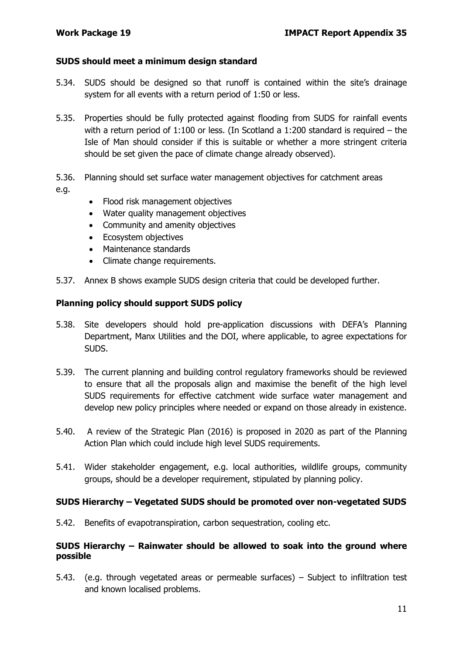#### **SUDS should meet a minimum design standard**

- 5.34. SUDS should be designed so that runoff is contained within the site's drainage system for all events with a return period of 1:50 or less.
- 5.35. Properties should be fully protected against flooding from SUDS for rainfall events with a return period of 1:100 or less. (In Scotland a 1:200 standard is required – the Isle of Man should consider if this is suitable or whether a more stringent criteria should be set given the pace of climate change already observed).
- 5.36. Planning should set surface water management objectives for catchment areas e.g.
	- Flood risk management objectives
	- Water quality management objectives
	- Community and amenity objectives
	- Ecosystem objectives
	- Maintenance standards
	- Climate change requirements.
- 5.37. Annex B shows example SUDS design criteria that could be developed further.

#### **Planning policy should support SUDS policy**

- 5.38. Site developers should hold pre-application discussions with DEFA's Planning Department, Manx Utilities and the DOI, where applicable, to agree expectations for SUDS.
- 5.39. The current planning and building control regulatory frameworks should be reviewed to ensure that all the proposals align and maximise the benefit of the high level SUDS requirements for effective catchment wide surface water management and develop new policy principles where needed or expand on those already in existence.
- 5.40. A review of the Strategic Plan (2016) is proposed in 2020 as part of the Planning Action Plan which could include high level SUDS requirements.
- 5.41. Wider stakeholder engagement, e.g. local authorities, wildlife groups, community groups, should be a developer requirement, stipulated by planning policy.

#### **SUDS Hierarchy – Vegetated SUDS should be promoted over non-vegetated SUDS**

5.42. Benefits of evapotranspiration, carbon sequestration, cooling etc.

#### **SUDS Hierarchy – Rainwater should be allowed to soak into the ground where possible**

5.43. (e.g. through vegetated areas or permeable surfaces) – Subject to infiltration test and known localised problems.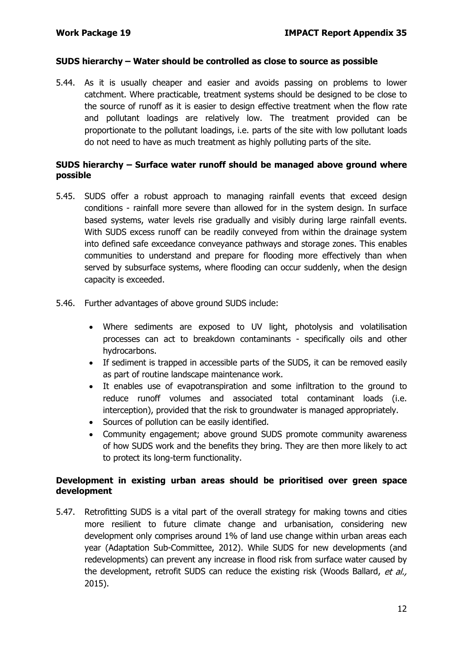#### **SUDS hierarchy – Water should be controlled as close to source as possible**

5.44. As it is usually cheaper and easier and avoids passing on problems to lower catchment. Where practicable, treatment systems should be designed to be close to the source of runoff as it is easier to design effective treatment when the flow rate and pollutant loadings are relatively low. The treatment provided can be proportionate to the pollutant loadings, i.e. parts of the site with low pollutant loads do not need to have as much treatment as highly polluting parts of the site.

#### **SUDS hierarchy – Surface water runoff should be managed above ground where possible**

- 5.45. SUDS offer a robust approach to managing rainfall events that exceed design conditions - rainfall more severe than allowed for in the system design. In surface based systems, water levels rise gradually and visibly during large rainfall events. With SUDS excess runoff can be readily conveyed from within the drainage system into defined safe exceedance conveyance pathways and storage zones. This enables communities to understand and prepare for flooding more effectively than when served by subsurface systems, where flooding can occur suddenly, when the design capacity is exceeded.
- 5.46. Further advantages of above ground SUDS include:
	- Where sediments are exposed to UV light, photolysis and volatilisation processes can act to breakdown contaminants - specifically oils and other hydrocarbons.
	- If sediment is trapped in accessible parts of the SUDS, it can be removed easily as part of routine landscape maintenance work.
	- It enables use of evapotranspiration and some infiltration to the ground to reduce runoff volumes and associated total contaminant loads (i.e. interception), provided that the risk to groundwater is managed appropriately.
	- Sources of pollution can be easily identified.
	- Community engagement; above ground SUDS promote community awareness of how SUDS work and the benefits they bring. They are then more likely to act to protect its long-term functionality.

#### **Development in existing urban areas should be prioritised over green space development**

5.47. Retrofitting SUDS is a vital part of the overall strategy for making towns and cities more resilient to future climate change and urbanisation, considering new development only comprises around 1% of land use change within urban areas each year (Adaptation Sub-Committee, 2012). While SUDS for new developments (and redevelopments) can prevent any increase in flood risk from surface water caused by the development, retrofit SUDS can reduce the existing risk (Woods Ballard, et al., 2015).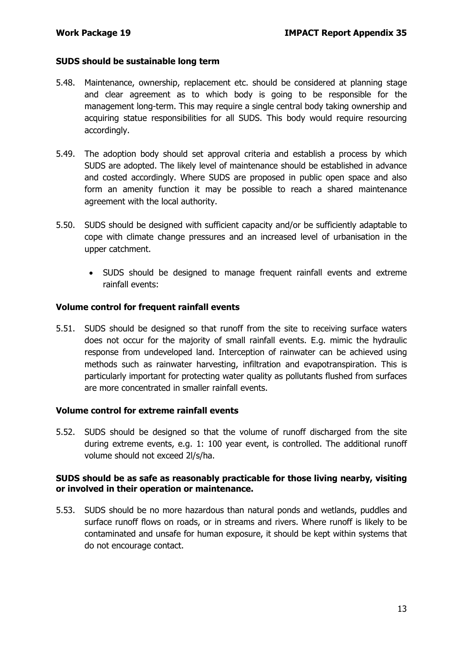#### **SUDS should be sustainable long term**

- 5.48. Maintenance, ownership, replacement etc. should be considered at planning stage and clear agreement as to which body is going to be responsible for the management long-term. This may require a single central body taking ownership and acquiring statue responsibilities for all SUDS. This body would require resourcing accordingly.
- 5.49. The adoption body should set approval criteria and establish a process by which SUDS are adopted. The likely level of maintenance should be established in advance and costed accordingly. Where SUDS are proposed in public open space and also form an amenity function it may be possible to reach a shared maintenance agreement with the local authority.
- 5.50. SUDS should be designed with sufficient capacity and/or be sufficiently adaptable to cope with climate change pressures and an increased level of urbanisation in the upper catchment.
	- SUDS should be designed to manage frequent rainfall events and extreme rainfall events:

#### **Volume control for frequent rainfall events**

5.51. SUDS should be designed so that runoff from the site to receiving surface waters does not occur for the majority of small rainfall events. E.g. mimic the hydraulic response from undeveloped land. Interception of rainwater can be achieved using methods such as rainwater harvesting, infiltration and evapotranspiration. This is particularly important for protecting water quality as pollutants flushed from surfaces are more concentrated in smaller rainfall events.

#### **Volume control for extreme rainfall events**

5.52. SUDS should be designed so that the volume of runoff discharged from the site during extreme events, e.g. 1: 100 year event, is controlled. The additional runoff volume should not exceed 2l/s/ha.

#### **SUDS should be as safe as reasonably practicable for those living nearby, visiting or involved in their operation or maintenance.**

5.53. SUDS should be no more hazardous than natural ponds and wetlands, puddles and surface runoff flows on roads, or in streams and rivers. Where runoff is likely to be contaminated and unsafe for human exposure, it should be kept within systems that do not encourage contact.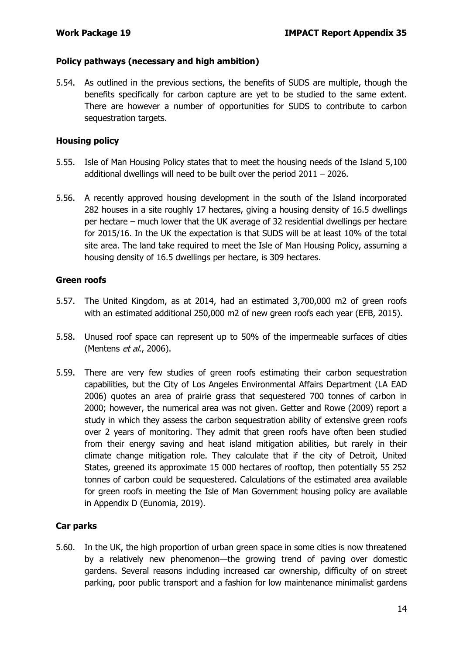#### **Policy pathways (necessary and high ambition)**

5.54. As outlined in the previous sections, the benefits of SUDS are multiple, though the benefits specifically for carbon capture are yet to be studied to the same extent. There are however a number of opportunities for SUDS to contribute to carbon sequestration targets.

#### **Housing policy**

- 5.55. Isle of Man Housing Policy states that to meet the housing needs of the Island 5,100 additional dwellings will need to be built over the period 2011 – 2026.
- 5.56. A recently approved housing development in the south of the Island incorporated 282 houses in a site roughly 17 hectares, giving a housing density of 16.5 dwellings per hectare – much lower that the UK average of 32 residential dwellings per hectare for 2015/16. In the UK the expectation is that SUDS will be at least 10% of the total site area. The land take required to meet the Isle of Man Housing Policy, assuming a housing density of 16.5 dwellings per hectare, is 309 hectares.

#### **Green roofs**

- 5.57. The United Kingdom, as at 2014, had an estimated 3,700,000 m2 of green roofs with an estimated additional 250,000 m2 of new green roofs each year (EFB, 2015).
- 5.58. Unused roof space can represent up to 50% of the impermeable surfaces of cities (Mentens *et al.*, 2006).
- 5.59. There are very few studies of green roofs estimating their carbon sequestration capabilities, but the City of Los Angeles Environmental Affairs Department (LA EAD 2006) quotes an area of prairie grass that sequestered 700 tonnes of carbon in 2000; however, the numerical area was not given. Getter and Rowe (2009) report a study in which they assess the carbon sequestration ability of extensive green roofs over 2 years of monitoring. They admit that green roofs have often been studied from their energy saving and heat island mitigation abilities, but rarely in their climate change mitigation role. They calculate that if the city of Detroit, United States, greened its approximate 15 000 hectares of rooftop, then potentially 55 252 tonnes of carbon could be sequestered. Calculations of the estimated area available for green roofs in meeting the Isle of Man Government housing policy are available in Appendix D (Eunomia, 2019).

### **Car parks**

5.60. In the UK, the high proportion of urban green space in some cities is now threatened by a relatively new phenomenon—the growing trend of paving over domestic gardens. Several reasons including increased car ownership, difficulty of on street parking, poor public transport and a fashion for low maintenance minimalist gardens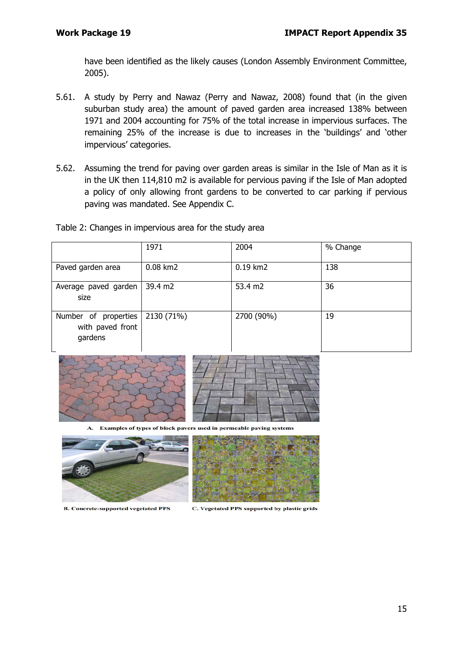have been identified as the likely causes (London Assembly Environment Committee, 2005).

- 5.61. A study by Perry and Nawaz (Perry and Nawaz, 2008) found that (in the given suburban study area) the amount of paved garden area increased 138% between 1971 and 2004 accounting for 75% of the total increase in impervious surfaces. The remaining 25% of the increase is due to increases in the 'buildings' and 'other impervious' categories.
- 5.62. Assuming the trend for paving over garden areas is similar in the Isle of Man as it is in the UK then 114,810 m2 is available for pervious paving if the Isle of Man adopted a policy of only allowing front gardens to be converted to car parking if pervious paving was mandated. See Appendix C.

| Table 2: Changes in impervious area for the study area |  |  |
|--------------------------------------------------------|--|--|
|--------------------------------------------------------|--|--|

|                                                     | 1971              | 2004       | % Change |
|-----------------------------------------------------|-------------------|------------|----------|
| Paved garden area                                   | 0.08 km2          | 0.19 km2   | 138      |
| Average paved garden<br>size                        | $39.4 \text{ m2}$ | 53.4 m2    | 36       |
| Number of properties<br>with paved front<br>gardens | 2130 (71%)        | 2700 (90%) | 19       |





Examples of types of block pavers used in permeable paving systems





**B. Concrete-supported vegetated PPS** 

C. Vegetated PPS supported by plastic grids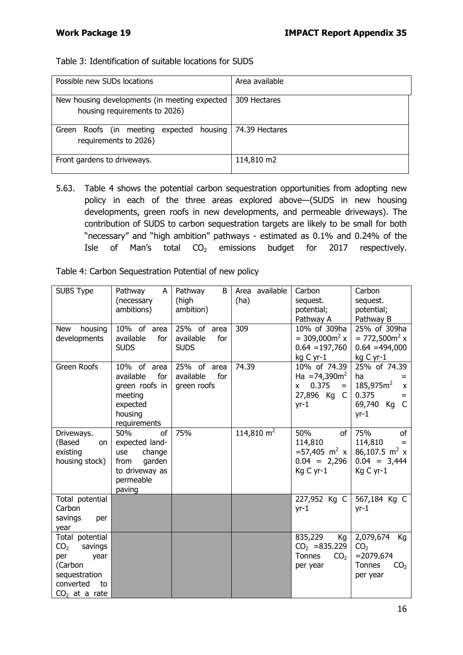#### Table 3: Identification of suitable locations for SUDS

| Possible new SUDs locations                                                    | Area available |
|--------------------------------------------------------------------------------|----------------|
| New housing developments (in meeting expected<br>housing requirements to 2026) | 309 Hectares   |
| Roofs (in meeting expected housing<br>Green<br>requirements to 2026)           | 74.39 Hectares |
| Front gardens to driveways.                                                    | 114,810 m2     |

5.63. Table 4 shows the potential carbon sequestration opportunities from adopting new policy in each of the three areas explored above—(SUDS in new housing developments, green roofs in new developments, and permeable driveways). The contribution of SUDS to carbon sequestration targets are likely to be small for both "necessary" and "high ambition" pathways - estimated as 0.1% and 0.24% of the Isle of Man's total  $CO<sub>2</sub>$  emissions budget for 2017 respectively.

| Table 4: Carbon Sequestration Potential of new policy |  |  |  |  |  |
|-------------------------------------------------------|--|--|--|--|--|
|-------------------------------------------------------|--|--|--|--|--|

| <b>SUBS Type</b>                                                                                                               | Pathway<br>A<br>(necessary<br>ambitions)                                                                | Pathway<br>B<br>(high<br>ambition)             | Area available<br>(ha) | Carbon<br>sequest.<br>potential;<br>Pathway A                                                      | Carbon<br>sequest.<br>potential;<br>Pathway B                                                                      |
|--------------------------------------------------------------------------------------------------------------------------------|---------------------------------------------------------------------------------------------------------|------------------------------------------------|------------------------|----------------------------------------------------------------------------------------------------|--------------------------------------------------------------------------------------------------------------------|
| New<br>housing<br>developments                                                                                                 | 10% of area<br>available<br>for<br><b>SUDS</b>                                                          | 25% of area<br>available<br>for<br><b>SUDS</b> | 309                    | 10% of 309ha<br>$= 309,000m^2 x$<br>$0.64 = 197,760$<br>kg C yr-1                                  | 25% of 309ha<br>$= 772,500m2 x$<br>$0.64 = 494,000$<br>kg C yr-1                                                   |
| Green Roofs                                                                                                                    | 10% of area<br>available<br>for<br>green roofs in<br>meeting<br>expected<br>housing<br>requirements     | 25% of area<br>available<br>for<br>green roofs | 74.39                  | 10% of 74.39<br>Ha = $74,390m^2$<br>0.375<br><b>X</b><br>$=$<br>27,896 Kg C<br>$yr-1$              | 25% of 74.39<br>ha<br>185,975m <sup>2</sup><br>$\pmb{\chi}$<br>0.375<br>$=$<br>$\mathsf{C}$<br>69,740 Kg<br>$yr-1$ |
| Driveways.<br>(Based<br>on<br>existing<br>housing stock)                                                                       | 50%<br>of<br>expected land-<br>change<br>use<br>garden<br>from<br>to driveway as<br>permeable<br>paving | 75%                                            | 114,810 $m2$           | 50%<br><sub>of</sub><br>114,810<br>$= 57,405 \text{ m}^2 \text{ x}$<br>$0.04 = 2,296$<br>Kg C yr-1 | 75%<br>оf<br>114,810<br>$=$<br>86,107.5 $m^2$ x<br>$0.04 = 3,444$<br>Kg C yr-1                                     |
| Total potential<br>Carbon<br>savings<br>per<br>year                                                                            |                                                                                                         |                                                |                        | 227,952 Kg C<br>$yr-1$                                                                             | 567,184 Kg C<br>$yr-1$                                                                                             |
| Total potential<br>CO <sub>2</sub><br>savings<br>per<br>year<br>(Carbon<br>sequestration<br>converted<br>to<br>$CO2$ at a rate |                                                                                                         |                                                |                        | 835,229<br>Kg<br>$CO2 = 835.229$<br>Tonnes<br>CO <sub>2</sub><br>per year                          | 2,079,674<br>Kg<br>CO <sub>2</sub><br>$= 2079.674$<br><b>Tonnes</b><br>CO <sub>2</sub><br>per year                 |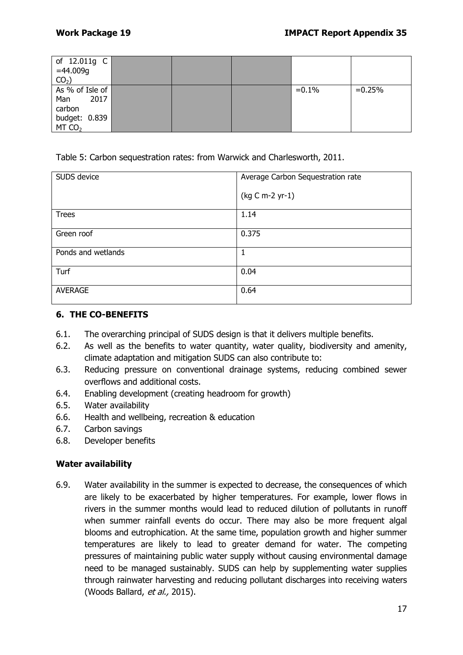| of 12.011g C<br>$=44.009g$ |  |         |          |
|----------------------------|--|---------|----------|
| $CO2$ )                    |  |         |          |
| As % of Isle of            |  | $=0.1%$ | $=0.25%$ |
| 2017<br>Man                |  |         |          |
| carbon                     |  |         |          |
| budget: 0.839              |  |         |          |
| MT CO <sub>2</sub>         |  |         |          |

Table 5: Carbon sequestration rates: from Warwick and Charlesworth, 2011.

| SUDS device        | Average Carbon Sequestration rate |
|--------------------|-----------------------------------|
|                    | (kg C m-2 yr-1)                   |
| <b>Trees</b>       | 1.14                              |
| Green roof         | 0.375                             |
| Ponds and wetlands |                                   |
| Turf               | 0.04                              |
| <b>AVERAGE</b>     | 0.64                              |

#### **6. THE CO-BENEFITS**

- 6.1. The overarching principal of SUDS design is that it delivers multiple benefits.
- 6.2. As well as the benefits to water quantity, water quality, biodiversity and amenity, climate adaptation and mitigation SUDS can also contribute to:
- 6.3. Reducing pressure on conventional drainage systems, reducing combined sewer overflows and additional costs.
- 6.4. Enabling development (creating headroom for growth)
- 6.5. Water availability
- 6.6. Health and wellbeing, recreation & education
- 6.7. Carbon savings
- 6.8. Developer benefits

#### **Water availability**

6.9. Water availability in the summer is expected to decrease, the consequences of which are likely to be exacerbated by higher temperatures. For example, lower flows in rivers in the summer months would lead to reduced dilution of pollutants in runoff when summer rainfall events do occur. There may also be more frequent algal blooms and eutrophication. At the same time, population growth and higher summer temperatures are likely to lead to greater demand for water. The competing pressures of maintaining public water supply without causing environmental damage need to be managed sustainably. SUDS can help by supplementing water supplies through rainwater harvesting and reducing pollutant discharges into receiving waters (Woods Ballard, et al., 2015).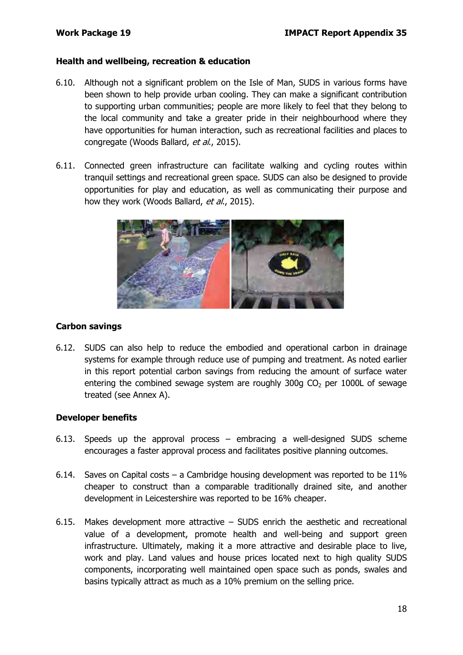#### **Health and wellbeing, recreation & education**

- 6.10. Although not a significant problem on the Isle of Man, SUDS in various forms have been shown to help provide urban cooling. They can make a significant contribution to supporting urban communities; people are more likely to feel that they belong to the local community and take a greater pride in their neighbourhood where they have opportunities for human interaction, such as recreational facilities and places to congregate (Woods Ballard, et al., 2015).
- 6.11. Connected green infrastructure can facilitate walking and cycling routes within tranquil settings and recreational green space. SUDS can also be designed to provide opportunities for play and education, as well as communicating their purpose and how they work (Woods Ballard, et al., 2015).



#### **Carbon savings**

6.12. SUDS can also help to reduce the embodied and operational carbon in drainage systems for example through reduce use of pumping and treatment. As noted earlier in this report potential carbon savings from reducing the amount of surface water entering the combined sewage system are roughly  $300q$  CO<sub>2</sub> per 1000L of sewage treated (see Annex A).

#### **Developer benefits**

- 6.13. Speeds up the approval process embracing a well-designed SUDS scheme encourages a faster approval process and facilitates positive planning outcomes.
- 6.14. Saves on Capital costs a Cambridge housing development was reported to be  $11\%$ cheaper to construct than a comparable traditionally drained site, and another development in Leicestershire was reported to be 16% cheaper.
- 6.15. Makes development more attractive SUDS enrich the aesthetic and recreational value of a development, promote health and well-being and support green infrastructure. Ultimately, making it a more attractive and desirable place to live, work and play. Land values and house prices located next to high quality SUDS components, incorporating well maintained open space such as ponds, swales and basins typically attract as much as a 10% premium on the selling price.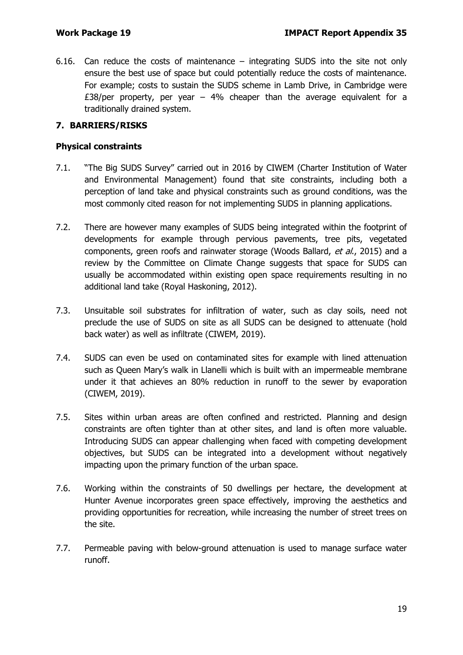6.16. Can reduce the costs of maintenance – integrating SUDS into the site not only ensure the best use of space but could potentially reduce the costs of maintenance. For example; costs to sustain the SUDS scheme in Lamb Drive, in Cambridge were £38/per property, per year  $-$  4% cheaper than the average equivalent for a traditionally drained system.

#### **7. BARRIERS/RISKS**

#### **Physical constraints**

- 7.1. "The Big SUDS Survey" carried out in 2016 by CIWEM (Charter Institution of Water and Environmental Management) found that site constraints, including both a perception of land take and physical constraints such as ground conditions, was the most commonly cited reason for not implementing SUDS in planning applications.
- 7.2. There are however many examples of SUDS being integrated within the footprint of developments for example through pervious pavements, tree pits, vegetated components, green roofs and rainwater storage (Woods Ballard, et al., 2015) and a review by the Committee on Climate Change suggests that space for SUDS can usually be accommodated within existing open space requirements resulting in no additional land take (Royal Haskoning, 2012).
- 7.3. Unsuitable soil substrates for infiltration of water, such as clay soils, need not preclude the use of SUDS on site as all SUDS can be designed to attenuate (hold back water) as well as infiltrate (CIWEM, 2019).
- 7.4. SUDS can even be used on contaminated sites for example with lined attenuation such as Queen Mary's walk in Llanelli which is built with an impermeable membrane under it that achieves an 80% reduction in runoff to the sewer by evaporation (CIWEM, 2019).
- 7.5. Sites within urban areas are often confined and restricted. Planning and design constraints are often tighter than at other sites, and land is often more valuable. Introducing SUDS can appear challenging when faced with competing development objectives, but SUDS can be integrated into a development without negatively impacting upon the primary function of the urban space.
- 7.6. Working within the constraints of 50 dwellings per hectare, the development at Hunter Avenue incorporates green space effectively, improving the aesthetics and providing opportunities for recreation, while increasing the number of street trees on the site.
- 7.7. Permeable paving with below-ground attenuation is used to manage surface water runoff.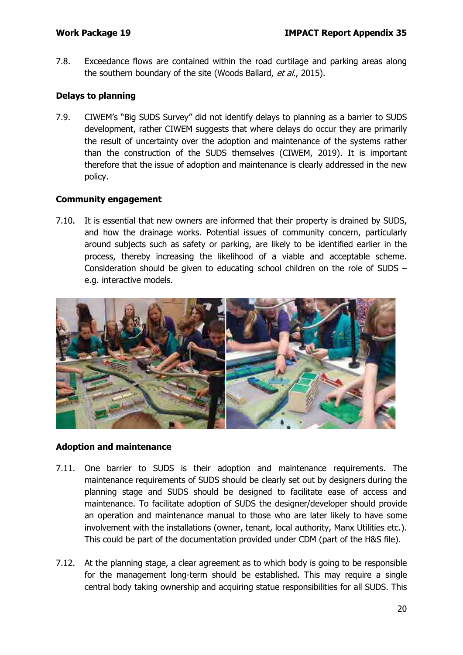7.8. Exceedance flows are contained within the road curtilage and parking areas along the southern boundary of the site (Woods Ballard, et al., 2015).

#### **Delays to planning**

7.9. CIWEM's "Big SUDS Survey" did not identify delays to planning as a barrier to SUDS development, rather CIWEM suggests that where delays do occur they are primarily the result of uncertainty over the adoption and maintenance of the systems rather than the construction of the SUDS themselves (CIWEM, 2019). It is important therefore that the issue of adoption and maintenance is clearly addressed in the new policy.

#### **Community engagement**

7.10. It is essential that new owners are informed that their property is drained by SUDS, and how the drainage works. Potential issues of community concern, particularly around subjects such as safety or parking, are likely to be identified earlier in the process, thereby increasing the likelihood of a viable and acceptable scheme. Consideration should be given to educating school children on the role of SUDS – e.g. interactive models.



#### **Adoption and maintenance**

- 7.11. One barrier to SUDS is their adoption and maintenance requirements. The maintenance requirements of SUDS should be clearly set out by designers during the planning stage and SUDS should be designed to facilitate ease of access and maintenance. To facilitate adoption of SUDS the designer/developer should provide an operation and maintenance manual to those who are later likely to have some involvement with the installations (owner, tenant, local authority, Manx Utilities etc.). This could be part of the documentation provided under CDM (part of the H&S file).
- 7.12. At the planning stage, a clear agreement as to which body is going to be responsible for the management long-term should be established. This may require a single central body taking ownership and acquiring statue responsibilities for all SUDS. This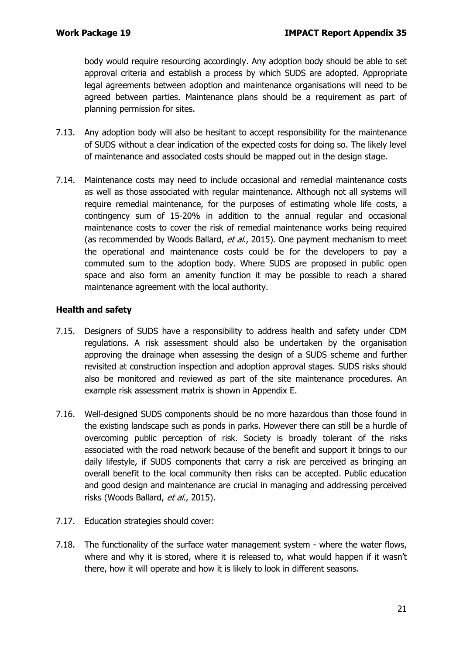body would require resourcing accordingly. Any adoption body should be able to set approval criteria and establish a process by which SUDS are adopted. Appropriate legal agreements between adoption and maintenance organisations will need to be agreed between parties. Maintenance plans should be a requirement as part of planning permission for sites.

- 7.13. Any adoption body will also be hesitant to accept responsibility for the maintenance of SUDS without a clear indication of the expected costs for doing so. The likely level of maintenance and associated costs should be mapped out in the design stage.
- 7.14. Maintenance costs may need to include occasional and remedial maintenance costs as well as those associated with regular maintenance. Although not all systems will require remedial maintenance, for the purposes of estimating whole life costs, a contingency sum of 15-20% in addition to the annual regular and occasional maintenance costs to cover the risk of remedial maintenance works being required (as recommended by Woods Ballard, et al., 2015). One payment mechanism to meet the operational and maintenance costs could be for the developers to pay a commuted sum to the adoption body. Where SUDS are proposed in public open space and also form an amenity function it may be possible to reach a shared maintenance agreement with the local authority.

#### **Health and safety**

- 7.15. Designers of SUDS have a responsibility to address health and safety under CDM regulations. A risk assessment should also be undertaken by the organisation approving the drainage when assessing the design of a SUDS scheme and further revisited at construction inspection and adoption approval stages. SUDS risks should also be monitored and reviewed as part of the site maintenance procedures. An example risk assessment matrix is shown in Appendix E.
- 7.16. Well-designed SUDS components should be no more hazardous than those found in the existing landscape such as ponds in parks. However there can still be a hurdle of overcoming public perception of risk. Society is broadly tolerant of the risks associated with the road network because of the benefit and support it brings to our daily lifestyle, if SUDS components that carry a risk are perceived as bringing an overall benefit to the local community then risks can be accepted. Public education and good design and maintenance are crucial in managing and addressing perceived risks (Woods Ballard, et al., 2015).
- 7.17. Education strategies should cover:
- 7.18. The functionality of the surface water management system where the water flows, where and why it is stored, where it is released to, what would happen if it wasn't there, how it will operate and how it is likely to look in different seasons.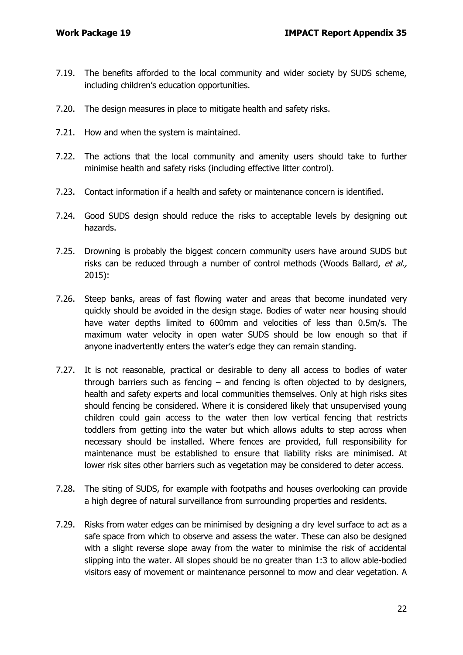- 7.19. The benefits afforded to the local community and wider society by SUDS scheme, including children's education opportunities.
- 7.20. The design measures in place to mitigate health and safety risks.
- 7.21. How and when the system is maintained.
- 7.22. The actions that the local community and amenity users should take to further minimise health and safety risks (including effective litter control).
- 7.23. Contact information if a health and safety or maintenance concern is identified.
- 7.24. Good SUDS design should reduce the risks to acceptable levels by designing out hazards.
- 7.25. Drowning is probably the biggest concern community users have around SUDS but risks can be reduced through a number of control methods (Woods Ballard, et al., 2015):
- 7.26. Steep banks, areas of fast flowing water and areas that become inundated very quickly should be avoided in the design stage. Bodies of water near housing should have water depths limited to 600mm and velocities of less than 0.5m/s. The maximum water velocity in open water SUDS should be low enough so that if anyone inadvertently enters the water's edge they can remain standing.
- 7.27. It is not reasonable, practical or desirable to deny all access to bodies of water through barriers such as fencing  $-$  and fencing is often objected to by designers, health and safety experts and local communities themselves. Only at high risks sites should fencing be considered. Where it is considered likely that unsupervised young children could gain access to the water then low vertical fencing that restricts toddlers from getting into the water but which allows adults to step across when necessary should be installed. Where fences are provided, full responsibility for maintenance must be established to ensure that liability risks are minimised. At lower risk sites other barriers such as vegetation may be considered to deter access.
- 7.28. The siting of SUDS, for example with footpaths and houses overlooking can provide a high degree of natural surveillance from surrounding properties and residents.
- 7.29. Risks from water edges can be minimised by designing a dry level surface to act as a safe space from which to observe and assess the water. These can also be designed with a slight reverse slope away from the water to minimise the risk of accidental slipping into the water. All slopes should be no greater than 1:3 to allow able-bodied visitors easy of movement or maintenance personnel to mow and clear vegetation. A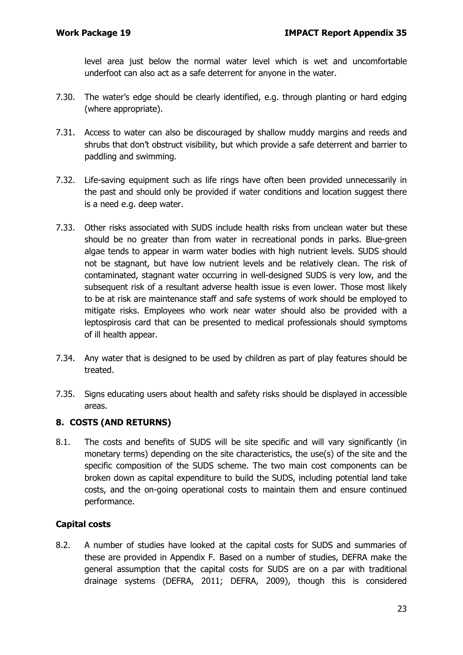level area just below the normal water level which is wet and uncomfortable underfoot can also act as a safe deterrent for anyone in the water.

- 7.30. The water's edge should be clearly identified, e.g. through planting or hard edging (where appropriate).
- 7.31. Access to water can also be discouraged by shallow muddy margins and reeds and shrubs that don't obstruct visibility, but which provide a safe deterrent and barrier to paddling and swimming.
- 7.32. Life-saving equipment such as life rings have often been provided unnecessarily in the past and should only be provided if water conditions and location suggest there is a need e.g. deep water.
- 7.33. Other risks associated with SUDS include health risks from unclean water but these should be no greater than from water in recreational ponds in parks. Blue-green algae tends to appear in warm water bodies with high nutrient levels. SUDS should not be stagnant, but have low nutrient levels and be relatively clean. The risk of contaminated, stagnant water occurring in well-designed SUDS is very low, and the subsequent risk of a resultant adverse health issue is even lower. Those most likely to be at risk are maintenance staff and safe systems of work should be employed to mitigate risks. Employees who work near water should also be provided with a leptospirosis card that can be presented to medical professionals should symptoms of ill health appear.
- 7.34. Any water that is designed to be used by children as part of play features should be treated.
- 7.35. Signs educating users about health and safety risks should be displayed in accessible areas.

### **8. COSTS (AND RETURNS)**

8.1. The costs and benefits of SUDS will be site specific and will vary significantly (in monetary terms) depending on the site characteristics, the use(s) of the site and the specific composition of the SUDS scheme. The two main cost components can be broken down as capital expenditure to build the SUDS, including potential land take costs, and the on-going operational costs to maintain them and ensure continued performance.

#### **Capital costs**

8.2. A number of studies have looked at the capital costs for SUDS and summaries of these are provided in Appendix F. Based on a number of studies, DEFRA make the general assumption that the capital costs for SUDS are on a par with traditional drainage systems (DEFRA, 2011; DEFRA, 2009), though this is considered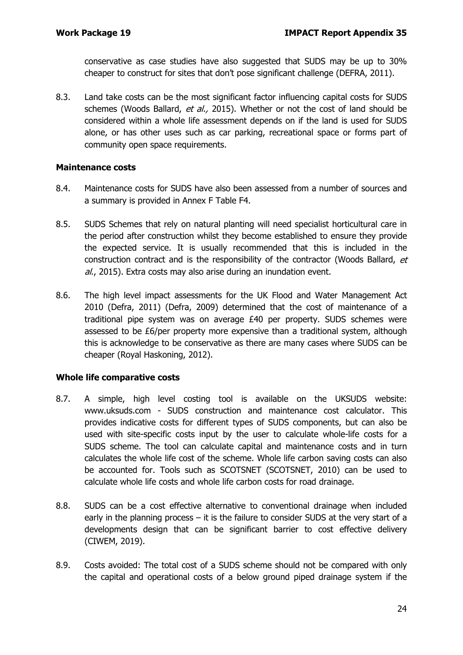conservative as case studies have also suggested that SUDS may be up to 30% cheaper to construct for sites that don't pose significant challenge (DEFRA, 2011).

8.3. Land take costs can be the most significant factor influencing capital costs for SUDS schemes (Woods Ballard, et al., 2015). Whether or not the cost of land should be considered within a whole life assessment depends on if the land is used for SUDS alone, or has other uses such as car parking, recreational space or forms part of community open space requirements.

#### **Maintenance costs**

- 8.4. Maintenance costs for SUDS have also been assessed from a number of sources and a summary is provided in Annex F Table F4.
- 8.5. SUDS Schemes that rely on natural planting will need specialist horticultural care in the period after construction whilst they become established to ensure they provide the expected service. It is usually recommended that this is included in the construction contract and is the responsibility of the contractor (Woods Ballard, et al., 2015). Extra costs may also arise during an inundation event.
- 8.6. The high level impact assessments for the UK Flood and Water Management Act 2010 (Defra, 2011) (Defra, 2009) determined that the cost of maintenance of a traditional pipe system was on average £40 per property. SUDS schemes were assessed to be £6/per property more expensive than a traditional system, although this is acknowledge to be conservative as there are many cases where SUDS can be cheaper (Royal Haskoning, 2012).

#### **Whole life comparative costs**

- 8.7. A simple, high level costing tool is available on the UKSUDS website: www.uksuds.com - SUDS construction and maintenance cost calculator. This provides indicative costs for different types of SUDS components, but can also be used with site-specific costs input by the user to calculate whole-life costs for a SUDS scheme. The tool can calculate capital and maintenance costs and in turn calculates the whole life cost of the scheme. Whole life carbon saving costs can also be accounted for. Tools such as SCOTSNET (SCOTSNET, 2010) can be used to calculate whole life costs and whole life carbon costs for road drainage.
- 8.8. SUDS can be a cost effective alternative to conventional drainage when included early in the planning process  $-$  it is the failure to consider SUDS at the very start of a developments design that can be significant barrier to cost effective delivery (CIWEM, 2019).
- 8.9. Costs avoided: The total cost of a SUDS scheme should not be compared with only the capital and operational costs of a below ground piped drainage system if the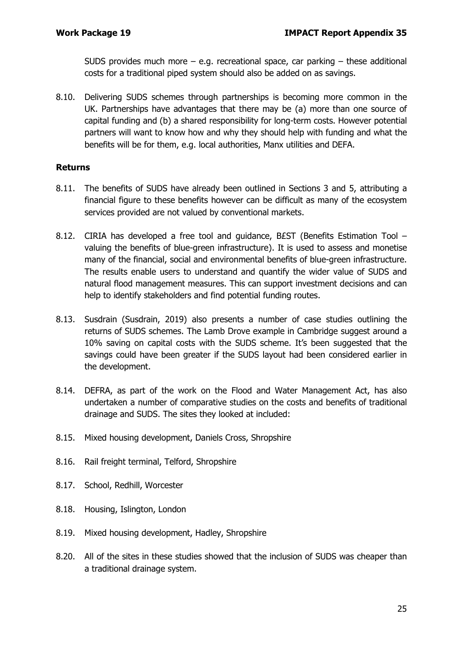SUDS provides much more  $-$  e.g. recreational space, car parking  $-$  these additional costs for a traditional piped system should also be added on as savings.

8.10. Delivering SUDS schemes through partnerships is becoming more common in the UK. Partnerships have advantages that there may be (a) more than one source of capital funding and (b) a shared responsibility for long-term costs. However potential partners will want to know how and why they should help with funding and what the benefits will be for them, e.g. local authorities, Manx utilities and DEFA.

#### **Returns**

- 8.11. The benefits of SUDS have already been outlined in Sections 3 and 5, attributing a financial figure to these benefits however can be difficult as many of the ecosystem services provided are not valued by conventional markets.
- 8.12. CIRIA has developed a free tool and guidance, B£ST (Benefits Estimation Tool valuing the benefits of blue-green infrastructure). It is used to assess and monetise many of the financial, social and environmental benefits of blue-green infrastructure. The results enable users to understand and quantify the wider value of SUDS and natural flood management measures. This can support investment decisions and can help to identify stakeholders and find potential funding routes.
- 8.13. Susdrain (Susdrain, 2019) also presents a number of case studies outlining the returns of SUDS schemes. The Lamb Drove example in Cambridge suggest around a 10% saving on capital costs with the SUDS scheme. It's been suggested that the savings could have been greater if the SUDS layout had been considered earlier in the development.
- 8.14. DEFRA, as part of the work on the Flood and Water Management Act, has also undertaken a number of comparative studies on the costs and benefits of traditional drainage and SUDS. The sites they looked at included:
- 8.15. Mixed housing development, Daniels Cross, Shropshire
- 8.16. Rail freight terminal, Telford, Shropshire
- 8.17. School, Redhill, Worcester
- 8.18. Housing, Islington, London
- 8.19. Mixed housing development, Hadley, Shropshire
- 8.20. All of the sites in these studies showed that the inclusion of SUDS was cheaper than a traditional drainage system.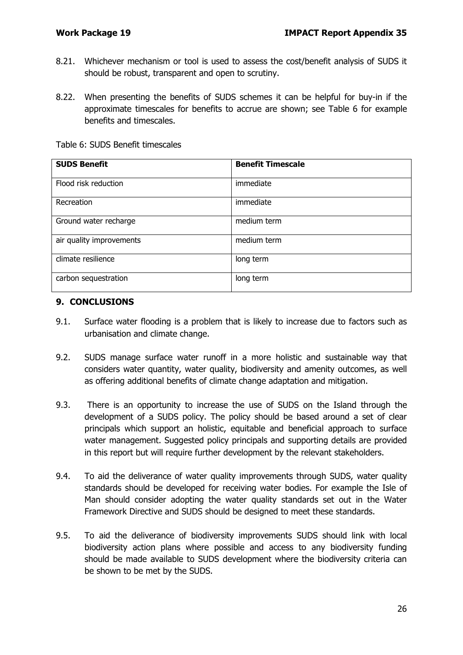- 8.21. Whichever mechanism or tool is used to assess the cost/benefit analysis of SUDS it should be robust, transparent and open to scrutiny.
- 8.22. When presenting the benefits of SUDS schemes it can be helpful for buy-in if the approximate timescales for benefits to accrue are shown; see Table 6 for example benefits and timescales.

|  | Table 6: SUDS Benefit timescales |
|--|----------------------------------|
|  |                                  |

| <b>SUDS Benefit</b>      | <b>Benefit Timescale</b> |
|--------------------------|--------------------------|
| Flood risk reduction     | immediate                |
| Recreation               | immediate                |
| Ground water recharge    | medium term              |
| air quality improvements | medium term              |
| climate resilience       | long term                |
| carbon sequestration     | long term                |

#### **9. CONCLUSIONS**

- 9.1. Surface water flooding is a problem that is likely to increase due to factors such as urbanisation and climate change.
- 9.2. SUDS manage surface water runoff in a more holistic and sustainable way that considers water quantity, water quality, biodiversity and amenity outcomes, as well as offering additional benefits of climate change adaptation and mitigation.
- 9.3. There is an opportunity to increase the use of SUDS on the Island through the development of a SUDS policy. The policy should be based around a set of clear principals which support an holistic, equitable and beneficial approach to surface water management. Suggested policy principals and supporting details are provided in this report but will require further development by the relevant stakeholders.
- 9.4. To aid the deliverance of water quality improvements through SUDS, water quality standards should be developed for receiving water bodies. For example the Isle of Man should consider adopting the water quality standards set out in the Water Framework Directive and SUDS should be designed to meet these standards.
- 9.5. To aid the deliverance of biodiversity improvements SUDS should link with local biodiversity action plans where possible and access to any biodiversity funding should be made available to SUDS development where the biodiversity criteria can be shown to be met by the SUDS.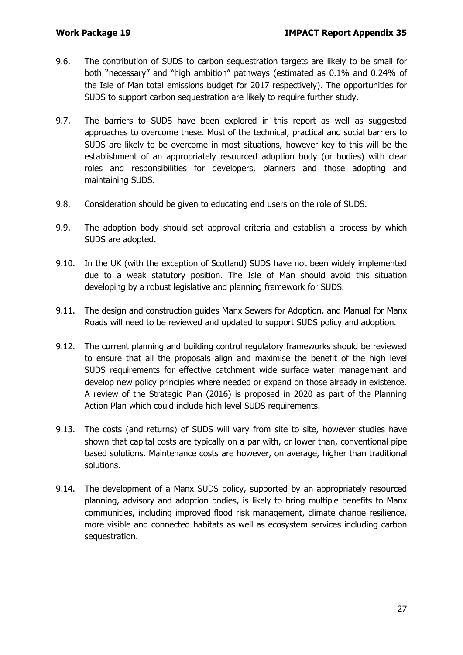- 9.6. The contribution of SUDS to carbon sequestration targets are likely to be small for both "necessary" and "high ambition" pathways (estimated as 0.1% and 0.24% of the Isle of Man total emissions budget for 2017 respectively). The opportunities for SUDS to support carbon sequestration are likely to require further study.
- 9.7. The barriers to SUDS have been explored in this report as well as suggested approaches to overcome these. Most of the technical, practical and social barriers to SUDS are likely to be overcome in most situations, however key to this will be the establishment of an appropriately resourced adoption body (or bodies) with clear roles and responsibilities for developers, planners and those adopting and maintaining SUDS.
- 9.8. Consideration should be given to educating end users on the role of SUDS.
- 9.9. The adoption body should set approval criteria and establish a process by which SUDS are adopted.
- 9.10. In the UK (with the exception of Scotland) SUDS have not been widely implemented due to a weak statutory position. The Isle of Man should avoid this situation developing by a robust legislative and planning framework for SUDS.
- 9.11. The design and construction guides Manx Sewers for Adoption, and Manual for Manx Roads will need to be reviewed and updated to support SUDS policy and adoption.
- 9.12. The current planning and building control regulatory frameworks should be reviewed to ensure that all the proposals align and maximise the benefit of the high level SUDS requirements for effective catchment wide surface water management and develop new policy principles where needed or expand on those already in existence. A review of the Strategic Plan (2016) is proposed in 2020 as part of the Planning Action Plan which could include high level SUDS requirements.
- 9.13. The costs (and returns) of SUDS will vary from site to site, however studies have shown that capital costs are typically on a par with, or lower than, conventional pipe based solutions. Maintenance costs are however, on average, higher than traditional solutions.
- 9.14. The development of a Manx SUDS policy, supported by an appropriately resourced planning, advisory and adoption bodies, is likely to bring multiple benefits to Manx communities, including improved flood risk management, climate change resilience, more visible and connected habitats as well as ecosystem services including carbon sequestration.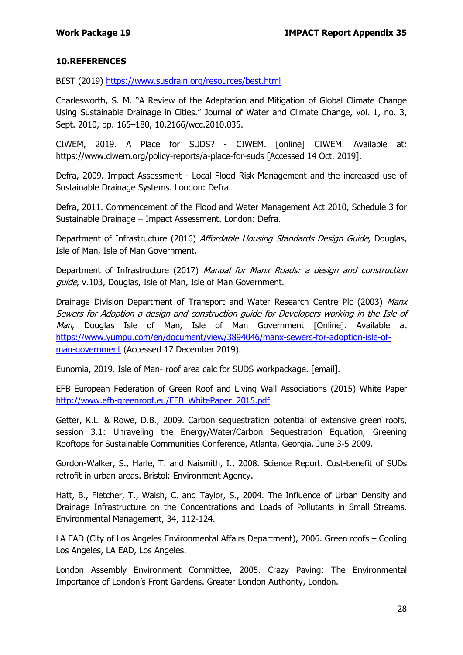#### **10.REFERENCES**

B£ST (2019)<https://www.susdrain.org/resources/best.html>

Charlesworth, S. M. "A Review of the Adaptation and Mitigation of Global Climate Change Using Sustainable Drainage in Cities." Journal of Water and Climate Change, vol. 1, no. 3, Sept. 2010, pp. 165–180, 10.2166/wcc.2010.035.

CIWEM, 2019. A Place for SUDS? - CIWEM. [online] CIWEM. Available at: https://www.ciwem.org/policy-reports/a-place-for-suds [Accessed 14 Oct. 2019].

Defra, 2009. Impact Assessment - Local Flood Risk Management and the increased use of Sustainable Drainage Systems. London: Defra.

Defra, 2011. Commencement of the Flood and Water Management Act 2010, Schedule 3 for Sustainable Drainage – Impact Assessment. London: Defra.

Department of Infrastructure (2016) Affordable Housing Standards Design Guide, Douglas, Isle of Man, Isle of Man Government.

Department of Infrastructure (2017) Manual for Manx Roads: a design and construction guide, v.103, Douglas, Isle of Man, Isle of Man Government.

Drainage Division Department of Transport and Water Research Centre Plc (2003) Manx Sewers for Adoption a design and construction guide for Developers working in the Isle of Man, Douglas Isle of Man, Isle of Man Government [Online]. Available at [https://www.yumpu.com/en/document/view/3894046/manx-sewers-for-adoption-isle-of](https://www.yumpu.com/en/document/view/3894046/manx-sewers-for-adoption-isle-of-man-government)[man-government](https://www.yumpu.com/en/document/view/3894046/manx-sewers-for-adoption-isle-of-man-government) (Accessed 17 December 2019).

Eunomia, 2019. Isle of Man- roof area calc for SUDS workpackage. [email].

EFB European Federation of Green Roof and Living Wall Associations (2015) White Paper [http://www.efb-greenroof.eu/EFB\\_WhitePaper\\_2015.pdf](http://www.efb-greenroof.eu/EFB_WhitePaper_2015.pdf)

Getter, K.L. & Rowe, D.B., 2009. Carbon sequestration potential of extensive green roofs, session 3.1: Unraveling the Energy/Water/Carbon Sequestration Equation, Greening Rooftops for Sustainable Communities Conference, Atlanta, Georgia. June 3-5 2009.

Gordon-Walker, S., Harle, T. and Naismith, I., 2008. Science Report. Cost-benefit of SUDs retrofit in urban areas. Bristol: Environment Agency.

Hatt, B., Fletcher, T., Walsh, C. and Taylor, S., 2004. The Influence of Urban Density and Drainage Infrastructure on the Concentrations and Loads of Pollutants in Small Streams. Environmental Management, 34, 112-124.

LA EAD (City of Los Angeles Environmental Affairs Department), 2006. Green roofs – Cooling Los Angeles, LA EAD, Los Angeles.

London Assembly Environment Committee, 2005. Crazy Paving: The Environmental Importance of London's Front Gardens. Greater London Authority, London.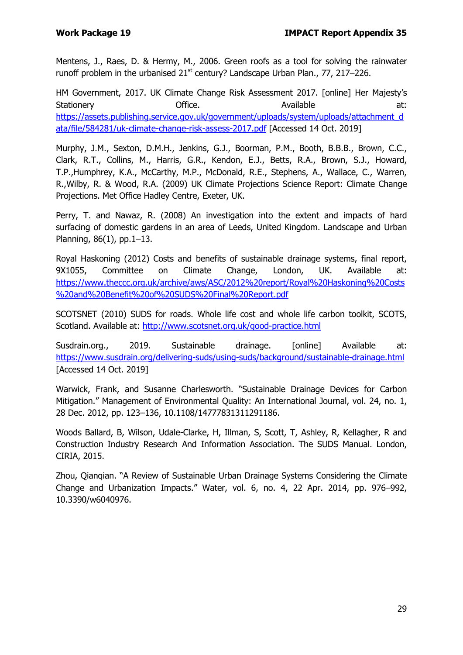Mentens, J., Raes, D. & Hermy, M., 2006. Green roofs as a tool for solving the rainwater runoff problem in the urbanised  $21<sup>st</sup>$  century? Landscape Urban Plan., 77, 217–226.

HM Government, 2017. UK Climate Change Risk Assessment 2017. [online] Her Majesty's Stationery **Stationery** Office. Available at: [https://assets.publishing.service.gov.uk/government/uploads/system/uploads/attachment\\_d](https://assets.publishing.service.gov.uk/government/uploads/system/uploads/attachment_data/file/584281/uk-climate-change-risk-assess-2017.pdf) [ata/file/584281/uk-climate-change-risk-assess-2017.pdf](https://assets.publishing.service.gov.uk/government/uploads/system/uploads/attachment_data/file/584281/uk-climate-change-risk-assess-2017.pdf) [Accessed 14 Oct. 2019]

Murphy, J.M., Sexton, D.M.H., Jenkins, G.J., Boorman, P.M., Booth, B.B.B., Brown, C.C., Clark, R.T., Collins, M., Harris, G.R., Kendon, E.J., Betts, R.A., Brown, S.J., Howard, T.P.,Humphrey, K.A., McCarthy, M.P., McDonald, R.E., Stephens, A., Wallace, C., Warren, R.,Wilby, R. & Wood, R.A. (2009) UK Climate Projections Science Report: Climate Change Projections. Met Office Hadley Centre, Exeter, UK.

Perry, T. and Nawaz, R. (2008) An investigation into the extent and impacts of hard surfacing of domestic gardens in an area of Leeds, United Kingdom. Landscape and Urban Planning, 86(1), pp.1–13.

Royal Haskoning (2012) Costs and benefits of sustainable drainage systems, final report, 9X1055, Committee on Climate Change, London, UK. Available at: [https://www.theccc.org.uk/archive/aws/ASC/2012%20report/Royal%20Haskoning%20Costs](https://www.theccc.org.uk/archive/aws/ASC/2012%20report/Royal%20Haskoning%20Costs%20and%20Benefit%20of%20SuDS%20Final%20Report.pdf) [%20and%20Benefit%20of%20SUDS%20Final%20Report.pdf](https://www.theccc.org.uk/archive/aws/ASC/2012%20report/Royal%20Haskoning%20Costs%20and%20Benefit%20of%20SuDS%20Final%20Report.pdf)

SCOTSNET (2010) SUDS for roads. Whole life cost and whole life carbon toolkit, SCOTS, Scotland. Available at:<http://www.scotsnet.org.uk/good-practice.html>

Susdrain.org., 2019. Sustainable drainage. [online] Available at: <https://www.susdrain.org/delivering-suds/using-suds/background/sustainable-drainage.html> [Accessed 14 Oct. 2019]

Warwick, Frank, and Susanne Charlesworth. "Sustainable Drainage Devices for Carbon Mitigation." Management of Environmental Quality: An International Journal, vol. 24, no. 1, 28 Dec. 2012, pp. 123–136, 10.1108/14777831311291186.

Woods Ballard, B, Wilson, Udale-Clarke, H, Illman, S, Scott, T, Ashley, R, Kellagher, R and Construction Industry Research And Information Association. The SUDS Manual. London, CIRIA, 2015.

Zhou, Qianqian. "A Review of Sustainable Urban Drainage Systems Considering the Climate Change and Urbanization Impacts." Water, vol. 6, no. 4, 22 Apr. 2014, pp. 976–992, 10.3390/w6040976.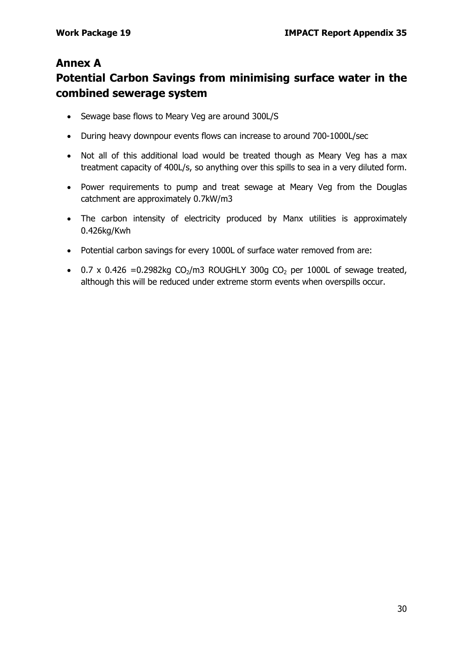## **Annex A**

# **Potential Carbon Savings from minimising surface water in the combined sewerage system**

- Sewage base flows to Meary Veg are around 300L/S
- During heavy downpour events flows can increase to around 700-1000L/sec
- Not all of this additional load would be treated though as Meary Veg has a max treatment capacity of 400L/s, so anything over this spills to sea in a very diluted form.
- Power requirements to pump and treat sewage at Meary Veg from the Douglas catchment are approximately 0.7kW/m3
- The carbon intensity of electricity produced by Manx utilities is approximately 0.426kg/Kwh
- Potential carbon savings for every 1000L of surface water removed from are:
- 0.7 x 0.426 = 0.2982kg  $CO<sub>2</sub>/m3$  ROUGHLY 300g  $CO<sub>2</sub>$  per 1000L of sewage treated, although this will be reduced under extreme storm events when overspills occur.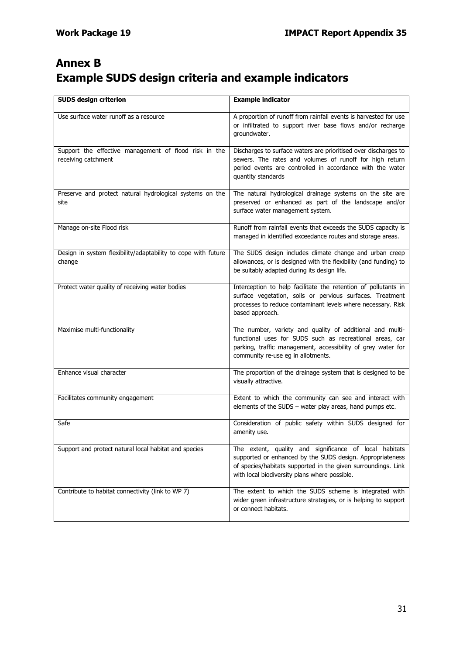# **Annex B Example SUDS design criteria and example indicators**

| <b>SUDS design criterion</b>                                                 | <b>Example indicator</b>                                                                                                                                                                                                              |
|------------------------------------------------------------------------------|---------------------------------------------------------------------------------------------------------------------------------------------------------------------------------------------------------------------------------------|
| Use surface water runoff as a resource                                       | A proportion of runoff from rainfall events is harvested for use<br>or infiltrated to support river base flows and/or recharge<br>groundwater.                                                                                        |
| Support the effective management of flood risk in the<br>receiving catchment | Discharges to surface waters are prioritised over discharges to<br>sewers. The rates and volumes of runoff for high return<br>period events are controlled in accordance with the water<br>quantity standards                         |
| Preserve and protect natural hydrological systems on the<br>site             | The natural hydrological drainage systems on the site are<br>preserved or enhanced as part of the landscape and/or<br>surface water management system.                                                                                |
| Manage on-site Flood risk                                                    | Runoff from rainfall events that exceeds the SUDS capacity is<br>managed in identified exceedance routes and storage areas.                                                                                                           |
| Design in system flexibility/adaptability to cope with future<br>change      | The SUDS design includes climate change and urban creep<br>allowances, or is designed with the flexibility (and funding) to<br>be suitably adapted during its design life.                                                            |
| Protect water quality of receiving water bodies                              | Interception to help facilitate the retention of pollutants in<br>surface vegetation, soils or pervious surfaces. Treatment<br>processes to reduce contaminant levels where necessary. Risk<br>based approach.                        |
| Maximise multi-functionality                                                 | The number, variety and quality of additional and multi-<br>functional uses for SUDS such as recreational areas, car<br>parking, traffic management, accessibility of grey water for<br>community re-use eg in allotments.            |
| Enhance visual character                                                     | The proportion of the drainage system that is designed to be<br>visually attractive.                                                                                                                                                  |
| Facilitates community engagement                                             | Extent to which the community can see and interact with<br>elements of the SUDS - water play areas, hand pumps etc.                                                                                                                   |
| Safe                                                                         | Consideration of public safety within SUDS designed for<br>amenity use.                                                                                                                                                               |
| Support and protect natural local habitat and species                        | The extent, quality and significance of local habitats<br>supported or enhanced by the SUDS design. Appropriateness<br>of species/habitats supported in the given surroundings. Link<br>with local biodiversity plans where possible. |
| Contribute to habitat connectivity (link to WP 7)                            | The extent to which the SUDS scheme is integrated with<br>wider green infrastructure strategies, or is helping to support<br>or connect habitats.                                                                                     |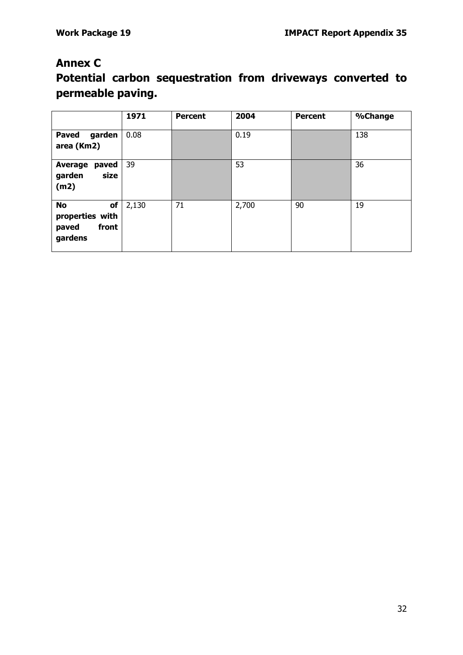## **Annex C**

# **Potential carbon sequestration from driveways converted to permeable paving.**

|                                                                 | 1971  | <b>Percent</b> | 2004  | <b>Percent</b> | %Change |
|-----------------------------------------------------------------|-------|----------------|-------|----------------|---------|
| <b>Paved</b><br>garden<br>area (Km2)                            | 0.08  |                | 0.19  |                | 138     |
| paved<br><b>Average</b><br>size<br>garden<br>(m2)               | 39    |                | 53    |                | 36      |
| <b>No</b><br>of<br>properties with<br>front<br>paved<br>gardens | 2,130 | 71             | 2,700 | 90             | 19      |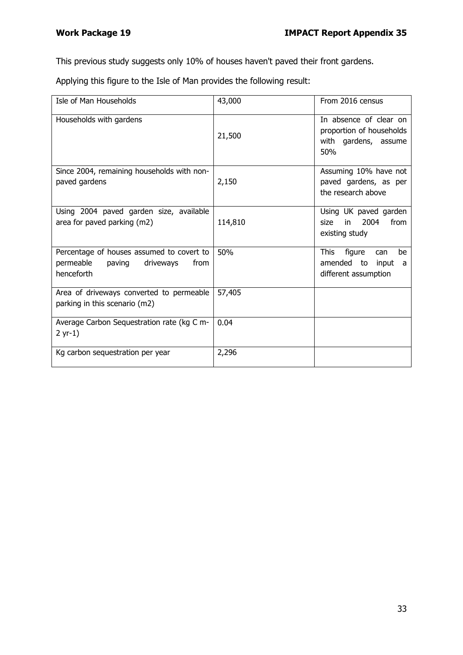This previous study suggests only 10% of houses haven't paved their front gardens.

Applying this figure to the Isle of Man provides the following result:

| Isle of Man Households                                                                              | 43,000  | From 2016 census                                                                  |
|-----------------------------------------------------------------------------------------------------|---------|-----------------------------------------------------------------------------------|
| Households with gardens                                                                             | 21,500  | In absence of clear on<br>proportion of households<br>with gardens, assume<br>50% |
| Since 2004, remaining households with non-<br>paved gardens                                         | 2,150   | Assuming 10% have not<br>paved gardens, as per<br>the research above              |
| Using 2004 paved garden size, available<br>area for paved parking (m2)                              | 114,810 | Using UK paved garden<br>2004<br>size<br>in<br>from<br>existing study             |
| Percentage of houses assumed to covert to<br>permeable<br>paving<br>from<br>driveways<br>henceforth | 50%     | This<br>figure<br>be<br>can<br>amended to<br>input<br>a<br>different assumption   |
| Area of driveways converted to permeable<br>parking in this scenario (m2)                           | 57,405  |                                                                                   |
| Average Carbon Sequestration rate (kg C m-<br>$2 yr-1)$                                             | 0.04    |                                                                                   |
| Kg carbon sequestration per year                                                                    | 2,296   |                                                                                   |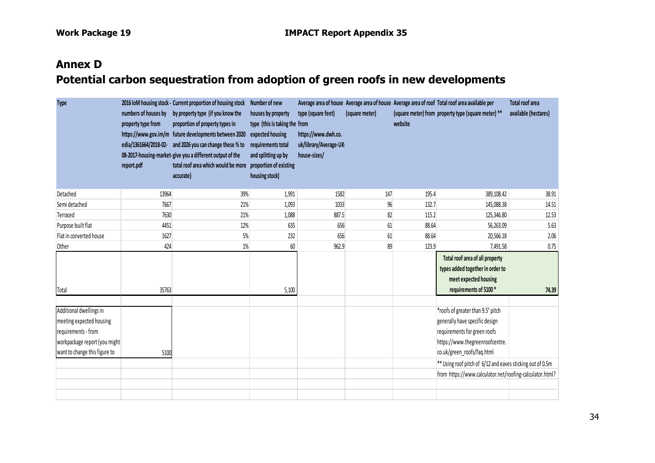# **Annex D Potential carbon sequestration from adoption of green roofs in new developments**

| <b>Type</b>                                                                                                                                  | numbers of houses by<br>property type from<br>report.pdf | 2016 IoM housing stock - Current proportion of housing stock<br>by property type (if you know the<br>proportion of property types in<br>https://www.gov.im/m future developments between 2020<br>edia/1361664/2018-02- and 2026 you can change these % to<br>08-2017-housing-market-give you a different output of the<br>total roof area which would be more<br>accurate) | Number of new<br>houses by property<br>type (this is taking the from<br>expected housing<br>requirements total<br>and splitting up by<br>proportion of existing<br>housing stock) | type (square feet)<br>https://www.dwh.co.<br>uk/library/Average-UK-<br>house-sizes/ | (square meter) | website | Average area of house Average area of house Average area of roof Total roof area available per<br>(square meter) from property type (square meter) **                                                                              | Total roof area<br>available (hectares) |
|----------------------------------------------------------------------------------------------------------------------------------------------|----------------------------------------------------------|----------------------------------------------------------------------------------------------------------------------------------------------------------------------------------------------------------------------------------------------------------------------------------------------------------------------------------------------------------------------------|-----------------------------------------------------------------------------------------------------------------------------------------------------------------------------------|-------------------------------------------------------------------------------------|----------------|---------|------------------------------------------------------------------------------------------------------------------------------------------------------------------------------------------------------------------------------------|-----------------------------------------|
| Detached                                                                                                                                     | 13964                                                    | 39%                                                                                                                                                                                                                                                                                                                                                                        | 1,991                                                                                                                                                                             | 1582                                                                                | 147            | 195.4   | 389,108.42                                                                                                                                                                                                                         | 38.91                                   |
| Semi detached                                                                                                                                | 7667                                                     | 21%                                                                                                                                                                                                                                                                                                                                                                        | 1,093                                                                                                                                                                             | 1033                                                                                | $96\,$         | 132.7   | 145,088.38                                                                                                                                                                                                                         | 14.51                                   |
| Terraced                                                                                                                                     | 7630                                                     | 21%                                                                                                                                                                                                                                                                                                                                                                        | 1,088                                                                                                                                                                             | 887.5                                                                               | 82             | 115.2   | 125,346.80                                                                                                                                                                                                                         | 12.53                                   |
| Purpose built flat                                                                                                                           | 4451                                                     | 12%                                                                                                                                                                                                                                                                                                                                                                        | 635                                                                                                                                                                               | 656                                                                                 | 61             | 88.64   | 56,263.09                                                                                                                                                                                                                          | 5.63                                    |
| Flat in converted house                                                                                                                      | 1627                                                     | 5%                                                                                                                                                                                                                                                                                                                                                                         | 232                                                                                                                                                                               | 656                                                                                 | 61             | 88.64   | 20,566.18                                                                                                                                                                                                                          | 2.06                                    |
| Other                                                                                                                                        | 424                                                      | 1%                                                                                                                                                                                                                                                                                                                                                                         | 60                                                                                                                                                                                | 962.9                                                                               | 89             | 123.9   | 7,491.58                                                                                                                                                                                                                           | 0.75                                    |
| Total                                                                                                                                        | 35763                                                    |                                                                                                                                                                                                                                                                                                                                                                            | 5,100                                                                                                                                                                             |                                                                                     |                |         | Total roof area of all property<br>types added together in order to<br>meet expected housing<br>requirements of 5100*                                                                                                              | 74.39                                   |
| Additional dwellings in<br>meeting expected housing<br>requirements - from<br>workpackage report (you might<br>want to change this figure to | 5100                                                     |                                                                                                                                                                                                                                                                                                                                                                            |                                                                                                                                                                                   |                                                                                     |                |         | *roofs of greater than 9.5° pitch<br>generally have specific design<br>requirements for green roofs<br>https://www.thegreenroofcentre.<br>co.uk/green roofs/faq.html<br>** Using roof pitch of 6/12 and eaves sticking out of 0.5m |                                         |
|                                                                                                                                              |                                                          |                                                                                                                                                                                                                                                                                                                                                                            |                                                                                                                                                                                   |                                                                                     |                |         | from https://www.calculator.net/roofing-calculator.html?                                                                                                                                                                           |                                         |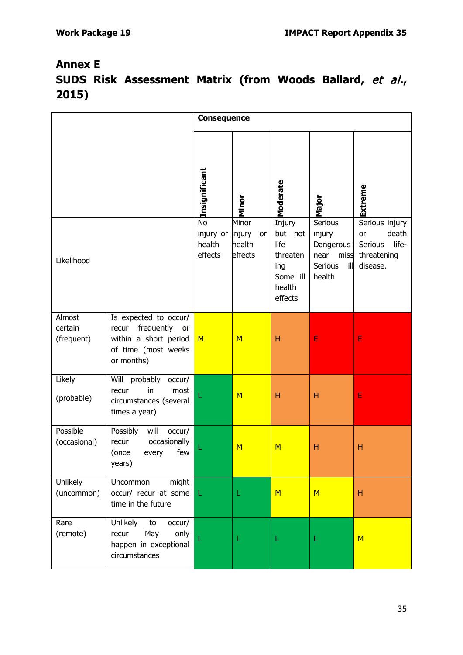# **Annex E SUDS Risk Assessment Matrix (from Woods Ballard,** et al**., 2015)**

|                                 |                                                                                                                  | <b>Consequence</b>                      |                                |                                                          |                                                              |                                             |
|---------------------------------|------------------------------------------------------------------------------------------------------------------|-----------------------------------------|--------------------------------|----------------------------------------------------------|--------------------------------------------------------------|---------------------------------------------|
|                                 |                                                                                                                  | Insignificant<br><b>No</b><br>injury or | Minor<br>Minor<br>injury<br>or | Moderate<br>Injury<br>but not                            | Major<br>Serious<br>injury                                   | Extreme<br>Serious injury<br>death<br>or    |
| Likelihood                      |                                                                                                                  | health<br>effects                       | health<br>effects              | life<br>threaten<br>ing<br>Some ill<br>health<br>effects | Dangerous<br>near<br>miss<br><b>Serious</b><br>ill<br>health | life-<br>Serious<br>threatening<br>disease. |
| Almost<br>certain<br>(frequent) | Is expected to occur/<br>frequently<br>recur<br>or<br>within a short period<br>of time (most weeks<br>or months) | M                                       | M                              | H                                                        | E                                                            | E                                           |
| Likely<br>(probable)            | Will probably<br>occur/<br>in<br>most<br>recur<br>circumstances (several<br>times a year)                        |                                         | M                              | H                                                        | Н                                                            | E                                           |
| Possible<br>(occasional)        | Possibly<br>will<br>occur/<br>occasionally<br>recur<br>few<br>(once<br>every<br>years)                           |                                         | M                              | M                                                        | Н                                                            | Н                                           |
| Unlikely<br>(uncommon)          | Uncommon<br>might<br>occur/ recur at some<br>time in the future                                                  | L.                                      | L                              | M                                                        | M                                                            | H                                           |
| Rare<br>(remote)                | Unlikely<br>to<br>occur/<br>May<br>only<br>recur<br>happen in exceptional<br>circumstances                       |                                         |                                |                                                          |                                                              | M                                           |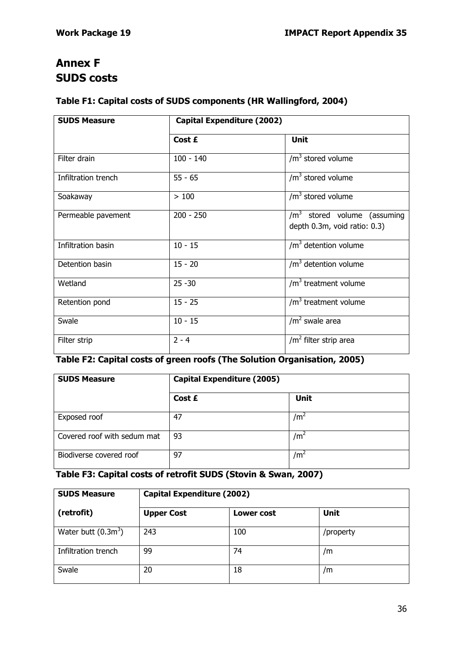# **Annex F SUDS costs**

## **Table F1: Capital costs of SUDS components (HR Wallingford, 2004)**

| <b>SUDS Measure</b> | <b>Capital Expenditure (2002)</b> |                                                               |  |
|---------------------|-----------------------------------|---------------------------------------------------------------|--|
|                     | Cost £                            | <b>Unit</b>                                                   |  |
| Filter drain        | $100 - 140$                       | $/m3$ stored volume                                           |  |
| Infiltration trench | $55 - 65$                         | $/m3$ stored volume                                           |  |
| Soakaway            | >100                              | $/m3$ stored volume                                           |  |
| Permeable pavement  | $200 - 250$                       | $/m3$ stored volume (assuming<br>depth 0.3m, void ratio: 0.3) |  |
| Infiltration basin  | $10 - 15$                         | $/m3$ detention volume                                        |  |
| Detention basin     | $15 - 20$                         | $/m3$ detention volume                                        |  |
| Wetland             | $25 - 30$                         | $/m3$ treatment volume                                        |  |
| Retention pond      | $15 - 25$                         | $/m3$ treatment volume                                        |  |
| Swale               | $10 - 15$                         | $/m2$ swale area                                              |  |
| Filter strip        | $2 - 4$                           | $/m2$ filter strip area                                       |  |

## **Table F2: Capital costs of green roofs (The Solution Organisation, 2005)**

| <b>SUDS Measure</b>         | Capital Expenditure (2005) |                 |
|-----------------------------|----------------------------|-----------------|
|                             | Cost £                     | <b>Unit</b>     |
| Exposed roof                | 47                         | /m <sup>2</sup> |
| Covered roof with sedum mat | 93                         | /m <sup>2</sup> |
| Biodiverse covered roof     | 97                         | $\rm /m^2$      |

## **Table F3: Capital costs of retrofit SUDS (Stovin & Swan, 2007)**

| <b>SUDS Measure</b>   | <b>Capital Expenditure (2002)</b> |            |             |  |  |  |
|-----------------------|-----------------------------------|------------|-------------|--|--|--|
| (retrofit)            | <b>Upper Cost</b>                 | Lower cost | <b>Unit</b> |  |  |  |
| Water butt $(0.3m^3)$ | 243                               | 100        | /property   |  |  |  |
| Infiltration trench   | 99                                | 74         | /m          |  |  |  |
| Swale                 | 20                                | 18         | /m          |  |  |  |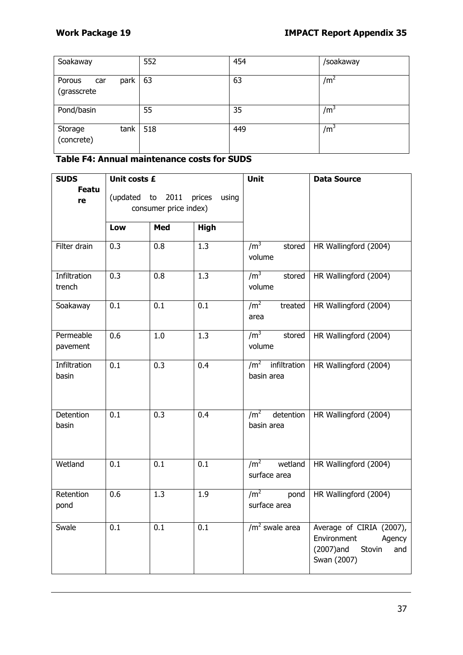| Soakaway                             | 552 | 454 | /soakaway       |
|--------------------------------------|-----|-----|-----------------|
| Porous<br>park<br>car<br>(grasscrete | 63  | 63  | /m <sup>2</sup> |
| Pond/basin                           | 55  | 35  | /m <sup>3</sup> |
| tank<br>Storage<br>(concrete)        | 518 | 449 | /m <sup>3</sup> |

### **Table F4: Annual maintenance costs for SUDS**

| <b>SUDS</b>            | Unit costs £                                              |                  |                  | Unit                                       | <b>Data Source</b>                                                                             |
|------------------------|-----------------------------------------------------------|------------------|------------------|--------------------------------------------|------------------------------------------------------------------------------------------------|
| <b>Featu</b><br>re     | (updated to 2011 prices<br>using<br>consumer price index) |                  |                  |                                            |                                                                                                |
|                        | Low                                                       | Med              | <b>High</b>      |                                            |                                                                                                |
| Filter drain           | 0.3                                                       | 0.8              | $\overline{1.3}$ | /m <sup>3</sup><br>stored<br>volume        | HR Wallingford (2004)                                                                          |
| Infiltration<br>trench | 0.3                                                       | 0.8              | 1.3              | /m <sup>3</sup><br>stored<br>volume        | HR Wallingford (2004)                                                                          |
| Soakaway               | $\overline{0.1}$                                          | $\overline{0.1}$ | $\overline{0.1}$ | /m <sup>2</sup><br>treated<br>area         | HR Wallingford (2004)                                                                          |
| Permeable<br>pavement  | 0.6                                                       | 1.0              | 1.3              | /m <sup>3</sup><br>stored<br>volume        | HR Wallingford (2004)                                                                          |
| Infiltration<br>basin  | $\overline{0.1}$                                          | $\overline{0.3}$ | 0.4              | $/m2$ infiltration<br>basin area           | HR Wallingford (2004)                                                                          |
| Detention<br>basin     | 0.1                                                       | 0.3              | 0.4              | /m <sup>2</sup><br>detention<br>basin area | HR Wallingford (2004)                                                                          |
| Wetland                | 0.1                                                       | 0.1              | 0.1              | /m <sup>2</sup><br>wetland<br>surface area | HR Wallingford (2004)                                                                          |
| Retention<br>pond      | 0.6                                                       | 1.3              | 1.9              | /m <sup>2</sup><br>pond<br>surface area    | HR Wallingford (2004)                                                                          |
| Swale                  | 0.1                                                       | 0.1              | 0.1              | $/m2$ swale area                           | Average of CIRIA (2007),<br>Environment<br>Agency<br>(2007)and<br>Stovin<br>and<br>Swan (2007) |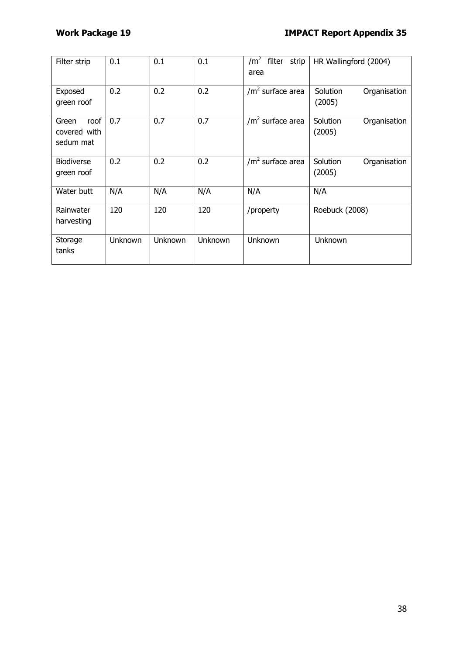| Filter strip                               | 0.1     | 0.1     | 0.1     | filter strip<br>/m <sup>2</sup><br>area | HR Wallingford (2004)              |
|--------------------------------------------|---------|---------|---------|-----------------------------------------|------------------------------------|
| Exposed<br>green roof                      | 0.2     | 0.2     | 0.2     | $/m2$ surface area                      | Solution<br>Organisation<br>(2005) |
| roof<br>Green<br>covered with<br>sedum mat | 0.7     | 0.7     | 0.7     | $/m2$ surface area                      | Solution<br>Organisation<br>(2005) |
| <b>Biodiverse</b><br>green roof            | 0.2     | 0.2     | 0.2     | $/m2$ surface area                      | Solution<br>Organisation<br>(2005) |
| Water butt                                 | N/A     | N/A     | N/A     | N/A                                     | N/A                                |
| Rainwater<br>harvesting                    | 120     | 120     | 120     | /property                               | Roebuck (2008)                     |
| Storage<br>tanks                           | Unknown | Unknown | Unknown | Unknown                                 | Unknown                            |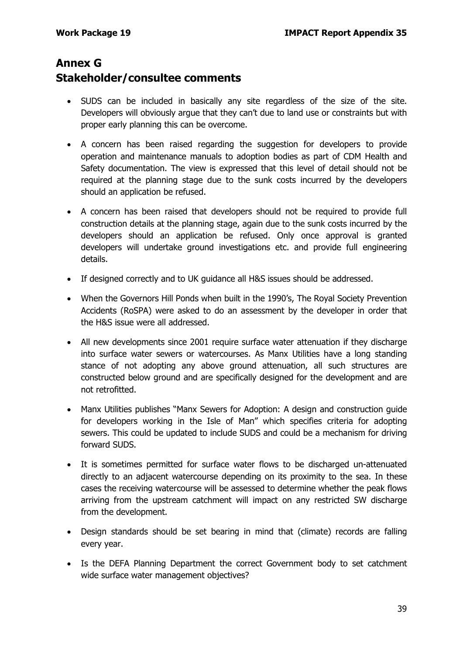## **Annex G Stakeholder/consultee comments**

- SUDS can be included in basically any site regardless of the size of the site. Developers will obviously argue that they can't due to land use or constraints but with proper early planning this can be overcome.
- A concern has been raised regarding the suggestion for developers to provide operation and maintenance manuals to adoption bodies as part of CDM Health and Safety documentation. The view is expressed that this level of detail should not be required at the planning stage due to the sunk costs incurred by the developers should an application be refused.
- A concern has been raised that developers should not be required to provide full construction details at the planning stage, again due to the sunk costs incurred by the developers should an application be refused. Only once approval is granted developers will undertake ground investigations etc. and provide full engineering details.
- If designed correctly and to UK guidance all H&S issues should be addressed.
- When the Governors Hill Ponds when built in the 1990's, The Royal Society Prevention Accidents (RoSPA) were asked to do an assessment by the developer in order that the H&S issue were all addressed.
- All new developments since 2001 require surface water attenuation if they discharge into surface water sewers or watercourses. As Manx Utilities have a long standing stance of not adopting any above ground attenuation, all such structures are constructed below ground and are specifically designed for the development and are not retrofitted.
- Manx Utilities publishes "Manx Sewers for Adoption: A design and construction guide for developers working in the Isle of Man" which specifies criteria for adopting sewers. This could be updated to include SUDS and could be a mechanism for driving forward SUDS.
- It is sometimes permitted for surface water flows to be discharged un-attenuated directly to an adjacent watercourse depending on its proximity to the sea. In these cases the receiving watercourse will be assessed to determine whether the peak flows arriving from the upstream catchment will impact on any restricted SW discharge from the development.
- Design standards should be set bearing in mind that (climate) records are falling every year.
- Is the DEFA Planning Department the correct Government body to set catchment wide surface water management objectives?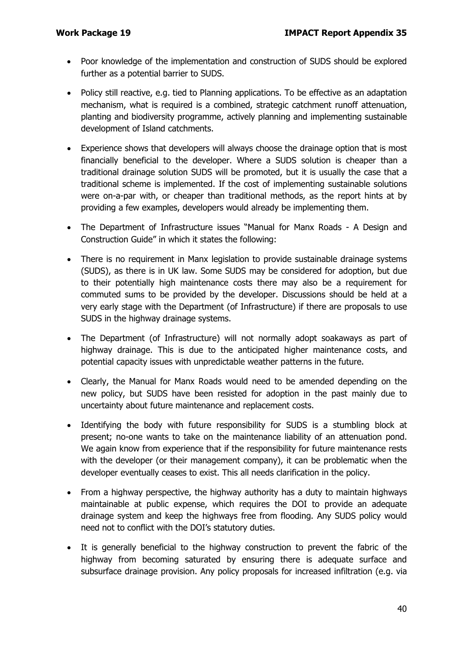- Poor knowledge of the implementation and construction of SUDS should be explored further as a potential barrier to SUDS.
- Policy still reactive, e.g. tied to Planning applications. To be effective as an adaptation mechanism, what is required is a combined, strategic catchment runoff attenuation, planting and biodiversity programme, actively planning and implementing sustainable development of Island catchments.
- Experience shows that developers will always choose the drainage option that is most financially beneficial to the developer. Where a SUDS solution is cheaper than a traditional drainage solution SUDS will be promoted, but it is usually the case that a traditional scheme is implemented. If the cost of implementing sustainable solutions were on-a-par with, or cheaper than traditional methods, as the report hints at by providing a few examples, developers would already be implementing them.
- The Department of Infrastructure issues "Manual for Manx Roads A Design and Construction Guide" in which it states the following:
- There is no requirement in Manx legislation to provide sustainable drainage systems (SUDS), as there is in UK law. Some SUDS may be considered for adoption, but due to their potentially high maintenance costs there may also be a requirement for commuted sums to be provided by the developer. Discussions should be held at a very early stage with the Department (of Infrastructure) if there are proposals to use SUDS in the highway drainage systems.
- The Department (of Infrastructure) will not normally adopt soakaways as part of highway drainage. This is due to the anticipated higher maintenance costs, and potential capacity issues with unpredictable weather patterns in the future.
- Clearly, the Manual for Manx Roads would need to be amended depending on the new policy, but SUDS have been resisted for adoption in the past mainly due to uncertainty about future maintenance and replacement costs.
- Identifying the body with future responsibility for SUDS is a stumbling block at present; no-one wants to take on the maintenance liability of an attenuation pond. We again know from experience that if the responsibility for future maintenance rests with the developer (or their management company), it can be problematic when the developer eventually ceases to exist. This all needs clarification in the policy.
- From a highway perspective, the highway authority has a duty to maintain highways maintainable at public expense, which requires the DOI to provide an adequate drainage system and keep the highways free from flooding. Any SUDS policy would need not to conflict with the DOI's statutory duties.
- It is generally beneficial to the highway construction to prevent the fabric of the highway from becoming saturated by ensuring there is adequate surface and subsurface drainage provision. Any policy proposals for increased infiltration (e.g. via